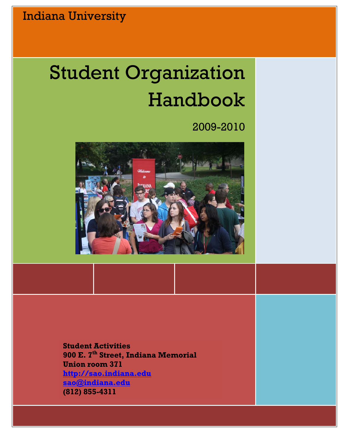# Student Organization Handbook

# 2009-2010



**Student Activities 900 E. 7th Street, Indiana Memorial Union room 371 [http://sao.indiana.edu](http://sao.indiana.edu/) [sao@indiana.edu](mailto:sao@indiana.edu) (812) 855-4311**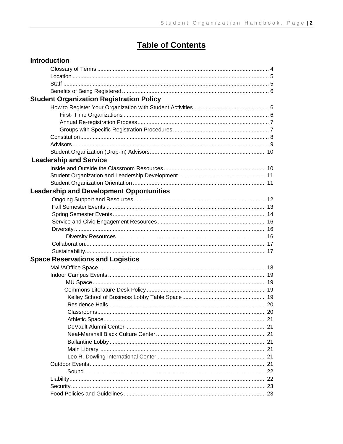# **Table of Contents**

| <b>Introduction</b>                             |  |
|-------------------------------------------------|--|
|                                                 |  |
|                                                 |  |
|                                                 |  |
|                                                 |  |
| <b>Student Organization Registration Policy</b> |  |
|                                                 |  |
|                                                 |  |
|                                                 |  |
|                                                 |  |
|                                                 |  |
|                                                 |  |
|                                                 |  |
| <b>Leadership and Service</b>                   |  |
|                                                 |  |
|                                                 |  |
|                                                 |  |
| <b>Leadership and Development Opportunities</b> |  |
|                                                 |  |
|                                                 |  |
|                                                 |  |
|                                                 |  |
|                                                 |  |
|                                                 |  |
|                                                 |  |
|                                                 |  |
| <b>Space Reservations and Logistics</b>         |  |
|                                                 |  |
|                                                 |  |
|                                                 |  |
|                                                 |  |
|                                                 |  |
|                                                 |  |
|                                                 |  |
|                                                 |  |
|                                                 |  |
|                                                 |  |
|                                                 |  |
|                                                 |  |
|                                                 |  |
|                                                 |  |
|                                                 |  |
|                                                 |  |
|                                                 |  |
|                                                 |  |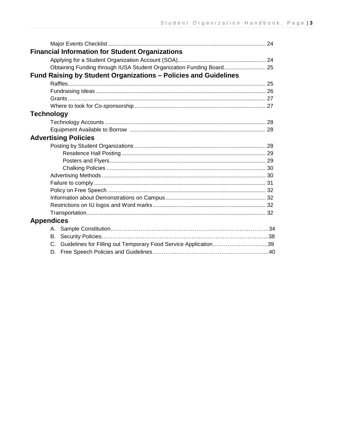| <b>Financial Information for Student Organizations</b>                |  |
|-----------------------------------------------------------------------|--|
|                                                                       |  |
| Obtaining Funding through IUSA Student Organization Funding Board 25  |  |
| Fund Raising by Student Organizations - Policies and Guidelines       |  |
|                                                                       |  |
|                                                                       |  |
|                                                                       |  |
|                                                                       |  |
| <b>Technology</b>                                                     |  |
|                                                                       |  |
|                                                                       |  |
| <b>Advertising Policies</b>                                           |  |
|                                                                       |  |
|                                                                       |  |
|                                                                       |  |
|                                                                       |  |
|                                                                       |  |
|                                                                       |  |
|                                                                       |  |
|                                                                       |  |
|                                                                       |  |
|                                                                       |  |
| <b>Appendices</b>                                                     |  |
|                                                                       |  |
| В.                                                                    |  |
| Guidelines for Filling out Temporary Food Service Application39<br>C. |  |
|                                                                       |  |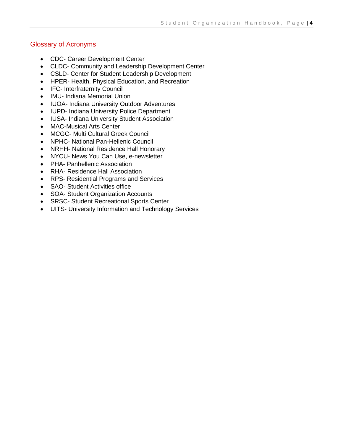# Glossary of Acronyms

- CDC- Career Development Center
- CLDC- Community and Leadership Development Center
- CSLD- Center for Student Leadership Development
- HPER- Health, Physical Education, and Recreation
- IFC- Interfraternity Council
- IMU- Indiana Memorial Union
- IUOA- Indiana University Outdoor Adventures
- IUPD- Indiana University Police Department
- IUSA- Indiana University Student Association
- MAC-Musical Arts Center
- MCGC- Multi Cultural Greek Council
- NPHC- National Pan-Hellenic Council
- NRHH- National Residence Hall Honorary
- NYCU- News You Can Use, e-newsletter
- PHA- Panhellenic Association
- RHA- Residence Hall Association
- RPS- Residential Programs and Services
- SAO- Student Activities office
- SOA- Student Organization Accounts
- SRSC- Student Recreational Sports Center
- UITS- University Information and Technology Services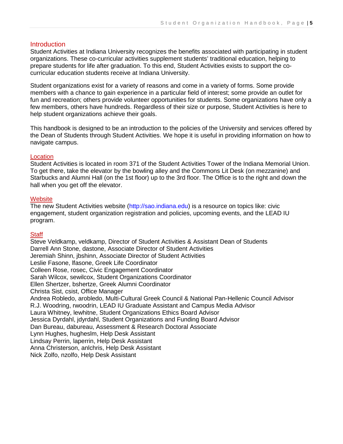#### **Introduction**

Student Activities at Indiana University recognizes the benefits associated with participating in student organizations. These co-curricular activities supplement students' traditional education, helping to prepare students for life after graduation. To this end, Student Activities exists to support the cocurricular education students receive at Indiana University.

Student organizations exist for a variety of reasons and come in a variety of forms. Some provide members with a chance to gain experience in a particular field of interest; some provide an outlet for fun and recreation; others provide volunteer opportunities for students. Some organizations have only a few members, others have hundreds. Regardless of their size or purpose, Student Activities is here to help student organizations achieve their goals.

This handbook is designed to be an introduction to the policies of the University and services offered by the Dean of Students through Student Activities. We hope it is useful in providing information on how to navigate campus.

#### **Location**

Student Activities is located in room 371 of the Student Activities Tower of the Indiana Memorial Union. To get there, take the elevator by the bowling alley and the Commons Lit Desk (on mezzanine) and Starbucks and Alumni Hall (on the 1st floor) up to the 3rd floor. The Office is to the right and down the hall when you get off the elevator.

#### **Website**

The new Student Activities website (http://sao.indiana.edu) is a resource on topics like: civic engagement, student organization registration and policies, upcoming events, and the LEAD IU program.

#### **Staff**

Steve Veldkamp, veldkamp, Director of Student Activities & Assistant Dean of Students Darrell Ann Stone, dastone, Associate Director of Student Activities Jeremiah Shinn, jbshinn, Associate Director of Student Activities Leslie Fasone, lfasone, Greek Life Coordinator Colleen Rose, rosec, Civic Engagement Coordinator Sarah Wilcox, sewilcox, Student Organizations Coordinator Ellen Shertzer, bshertze, Greek Alumni Coordinator Christa Sist, csist, Office Manager Andrea Robledo, arobledo, Multi-Cultural Greek Council & National Pan-Hellenic Council Advisor R.J. Woodring, rwoodrin, LEAD IU Graduate Assistant and Campus Media Advisor Laura Whitney, lewhitne, Student Organizations Ethics Board Advisor Jessica Dyrdahl, jdyrdahl, Student Organizations and Funding Board Advisor Dan Bureau, dabureau, Assessment & Research Doctoral Associate Lynn Hughes, hugheslm, Help Desk Assistant Lindsay Perrin, laperrin, Help Desk Assistant Anna Christerson, anlchris, Help Desk Assistant Nick Zolfo, nzolfo, Help Desk Assistant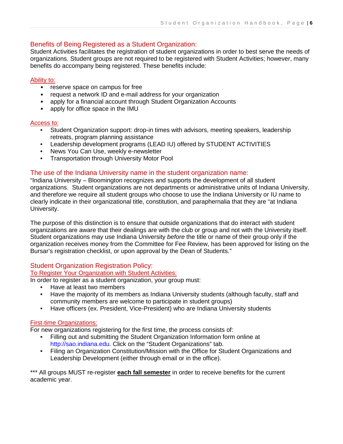# Benefits of Being Registered as a Student Organization:

Student Activities facilitates the registration of student organizations in order to best serve the needs of organizations. Student groups are not required to be registered with Student Activities; however, many benefits do accompany being registered. These benefits include:

#### Ability to:

- reserve space on campus for free
- request a network ID and e-mail address for your organization
- apply for a financial account through Student Organization Accounts
- apply for office space in the IMU

#### Access to:

- Student Organization support: drop-in times with advisors, meeting speakers, leadership retreats, program planning assistance
- Leadership development programs (LEAD IU) offered by STUDENT ACTIVITIES
- News You Can Use, weekly e-newsletter
- Transportation through University Motor Pool

#### The use of the Indiana University name in the student organization name:

"Indiana University – Bloomington recognizes and supports the development of all student organizations. Student organizations are not departments or administrative units of Indiana University, and therefore we require all student groups who choose to use the Indiana University or IU name to clearly indicate in their organizational title, constitution, and paraphernalia that they are "at Indiana University.

The purpose of this distinction is to ensure that outside organizations that do interact with student organizations are aware that their dealings are with the club or group and not with the University itself. Student organizations may use Indiana University *before* the title or name of their group only if the organization receives money from the Committee for Fee Review, has been approved for listing on the Bursar's registration checklist, or upon approval by the Dean of Students."

# Student Organization Registration Policy:

To Register Your Organization with Student Activities:

In order to register as a student organization, your group must:

- Have at least two members
- Have the majority of its members as Indiana University students (although faculty, staff and community members are welcome to participate in student groups)
- Have officers (ex. President, Vice-President) who are Indiana University students

#### First-time Organizations:

For new organizations registering for the first time, the process consists of:

- Filling out and submitting the Student Organization Information form online at http://sao.indiana.edu. Click on the "Student Organizations" tab.
- Filing an Organization Constitution/Mission with the Office for Student Organizations and Leadership Development (either through email or in the office).

\*\*\* All groups MUST re-register **each fall semester** in order to receive benefits for the current academic year.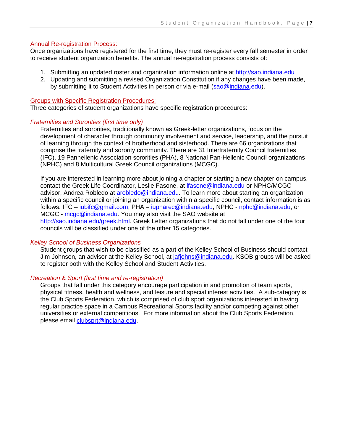#### Annual Re-registration Process:

Once organizations have registered for the first time, they must re-register every fall semester in order to receive student organization benefits. The annual re-registration process consists of:

- 1. Submitting an updated roster and organization information online at http://sao.indiana.edu
- 2. Updating and submitting a revised Organization Constitution if any changes have been made, by submitting it to Student Activities in person or via e-mail (sao[@indiana.](mailto:sao@indiana.edu)edu).

#### Groups with Specific Registration Procedures:

Three categories of student organizations have specific registration procedures:

#### *Fraternities and Sororities (first time only)*

Fraternities and sororities, traditionally known as Greek-letter organizations, focus on the development of character through community involvement and service, leadership, and the pursuit of learning through the context of brotherhood and sisterhood. There are 66 organizations that comprise the fraternity and sorority community. There are 31 Interfraternity Council fraternities (IFC), 19 Panhellenic Association sororities (PHA), 8 National Pan-Hellenic Council organizations (NPHC) and 8 Multicultural Greek Council organizations (MCGC).

If you are interested in learning more about joining a chapter or starting a new chapter on campus, contact the Greek Life Coordinator, Leslie Fasone, at lfasone@indiana.edu or NPHC/MCGC advisor, Andrea Robledo at [arobledo@indiana.edu.](mailto:arobledo@indiana.edu) To learn more about starting an organization within a specific council or joining an organization within a specific council, contact information is as follows: IFC – iubifc@gmail.com, PHA – iupharec@indiana.edu, NPHC - nphc@indiana.edu, or MCGC - mcgc@indiana.edu. You may also visit the SAO website at http://sao.indiana.edu/greek.html. Greek Letter organizations that do not fall under one of the four councils will be classified under one of the other 15 categories.

#### *Kelley School of Business Organizations*

Student groups that wish to be classified as a part of the Kelley School of Business should contact Jim Johnson, an advisor at the Kelley School, at *jafjohns@indiana.edu*. KSOB groups will be asked to register both with the Kelley School and Student Activities.

#### *Recreation & Sport (first time and re-registration)*

Groups that fall under this category encourage participation in and promotion of team sports, physical fitness, health and wellness, and leisure and special interest activities. A sub-category is the Club Sports Federation, which is comprised of club sport organizations interested in having regular practice space in a Campus Recreational Sports facility and/or competing against other universities or external competitions. For more information about the Club Sports Federation, please email [clubsprt@indiana.edu.](mailto:clubsprt@indiana.edu)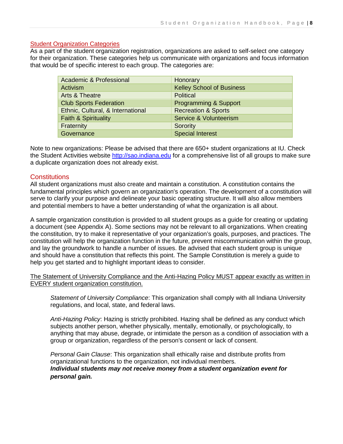#### Student Organization Categories

As a part of the student organization registration, organizations are asked to self-select one category for their organization. These categories help us communicate with organizations and focus information that would be of specific interest to each group. The categories are:

| Academic & Professional           | Honorary                         |
|-----------------------------------|----------------------------------|
| Activism                          | <b>Kelley School of Business</b> |
| <b>Arts &amp; Theatre</b>         | <b>Political</b>                 |
| <b>Club Sports Federation</b>     | <b>Programming &amp; Support</b> |
| Ethnic, Cultural, & International | <b>Recreation &amp; Sports</b>   |
| <b>Faith &amp; Spirituality</b>   | Service & Volunteerism           |
| Fraternity                        | Sorority                         |
| Governance                        | <b>Special Interest</b>          |

Note to new organizations: Please be advised that there are 650+ student organizations at IU. Check the Student Activities website [http://sao.indiana.edu](http://sao.indiana.edu/) for a comprehensive list of all groups to make sure a duplicate organization does not already exist.

#### **Constitutions**

All student organizations must also create and maintain a constitution. A constitution contains the fundamental principles which govern an organization's operation. The development of a constitution will serve to clarify your purpose and delineate your basic operating structure. It will also allow members and potential members to have a better understanding of what the organization is all about.

A sample organization constitution is provided to all student groups as a guide for creating or updating a document (see Appendix A). Some sections may not be relevant to all organizations. When creating the constitution, try to make it representative of your organization's goals, purposes, and practices. The constitution will help the organization function in the future, prevent miscommunication within the group, and lay the groundwork to handle a number of issues. Be advised that each student group is unique and should have a constitution that reflects this point. The Sample Constitution is merely a guide to help you get started and to highlight important ideas to consider.

The Statement of University Compliance and the Anti-Hazing Policy MUST appear exactly as written in EVERY student organization constitution.

*Statement of University Compliance*: This organization shall comply with all Indiana University regulations, and local, state, and federal laws.

*Anti-Hazing Policy*: Hazing is strictly prohibited. Hazing shall be defined as any conduct which subjects another person, whether physically, mentally, emotionally, or psychologically, to anything that may abuse, degrade, or intimidate the person as a condition of association with a group or organization, regardless of the person's consent or lack of consent.

*Personal Gain Clause*: This organization shall ethically raise and distribute profits from organizational functions to the organization, not individual members. *Individual students may not receive money from a student organization event for personal gain.*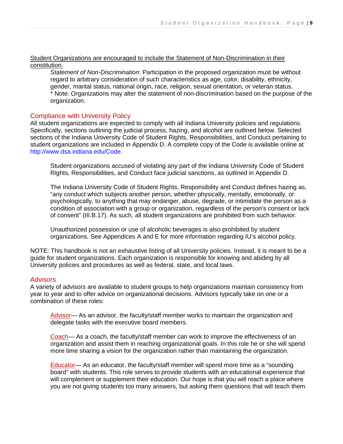#### Student Organizations are encouraged to include the Statement of Non-Discrimination in their constitution.

*Statement of Non-Discrimination*: Participation in the proposed organization must be without regard to arbitrary consideration of such characteristics as age, color, disability, ethnicity, gender, marital status, national origin, race, religion, sexual orientation, or veteran status. \* Note: Organizations may alter the statement of non-discrimination based on the purpose of the organization.

# Compliance with University Policy

All student organizations are expected to comply with all Indiana University policies and regulations. Specifically, sections outlining the judicial process, hazing, and alcohol are outlined below. Selected sections of the Indiana University Code of Student Rights, Responsibilities, and Conduct pertaining to student organizations are included in Appendix D. A complete copy of the Code is available online at http://www.dsa.indiana.edu/Code.

Student organizations accused of violating any part of the Indiana University Code of Student Rights, Responsibilities, and Conduct face judicial sanctions, as outlined in Appendix D.

The Indiana University Code of Student Rights, Responsibility and Conduct defines hazing as, "any conduct which subjects another person, whether physically, mentally, emotionally, or psychologically, to anything that may endanger, abuse, degrade, or intimidate the person as a condition of association with a group or organization, regardless of the person's consent or lack of consent" (III.B.17). As such, all student organizations are prohibited from such behavior.

Unauthorized possession or use of alcoholic beverages is also prohibited by student organizations. See Appendices A and E for more information regarding IU's alcohol policy.

NOTE: This handbook is not an exhaustive listing of all University policies. Instead, it is meant to be a guide for student organizations. Each organization is responsible for knowing and abiding by all University policies and procedures as well as federal, state, and local laws.

#### **Advisors**

A variety of advisors are available to student groups to help organizations maintain consistency from year to year and to offer advice on organizational decisions. Advisors typically take on one or a combination of these roles:

Advisor— As an advisor, the faculty/staff member works to maintain the organization and delegate tasks with the executive board members.

Coach— As a coach, the faculty/staff member can work to improve the effectiveness of an organization and assist them in reaching organizational goals. In this role he or she will spend more time sharing a vision for the organization rather than maintaining the organization.

Educator— As an educator, the faculty/staff member will spend more time as a "sounding board" with students. This role serves to provide students with an educational experience that will complement or supplement their education. Our hope is that you will reach a place where you are not giving students too many answers, but asking them questions that will teach them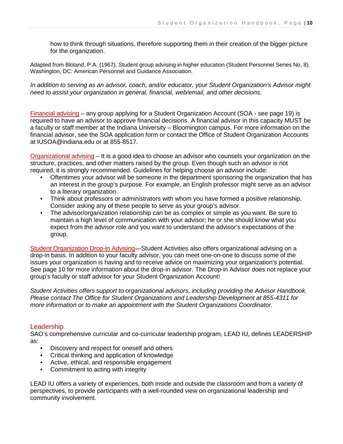how to think through situations, therefore supporting them in their creation of the bigger picture for the organization.

Adapted from Bloland, P.A. (1967). Student group advising in higher education (Student Personnel Series No. 8). Washington, DC: American Personnel and Guidance Association.

*In addition to serving as an advisor, coach, and/or educator, your Student Organization's Advisor might need to assist your organization in general, financial, web/email, and other decisions.* 

Financial advising – any group applying for a Student Organization Account (SOA - see page 19) is required to have an advisor to approve financial decisions. A financial advisor in this capacity MUST be a faculty or staff member at the Indiana University – Bloomington campus. For more information on the financial advisor, see the SOA application form or contact the Office of Student Organization Accounts at IUSOA@indiana.edu or at 855-8517.

Organizational advising – It is a good idea to choose an advisor who counsels your organization on the structure, practices, and other matters raised by the group. Even though such an advisor is not required, it is strongly recommended. Guidelines for helping choose an advisor include:

- Oftentimes your advisor will be someone in the department sponsoring the organization that has an interest in the group's purpose. For example, an English professor might serve as an advisor to a literary organization.
- Think about professors or administrators with whom you have formed a positive relationship. Consider asking any of these people to serve as your group's advisor.
- The advisor/organization relationship can be as complex or simple as you want. Be sure to maintain a high level of communication with your advisor; he or she should know what you expect from the advisor role and you want to understand the advisor's expectations of the group.

Student Organization Drop-in Advising—Student Activities also offers organizational advising on a drop-in basis. In addition to your faculty advisor, you can meet one-on-one to discuss some of the issues your organization is having and to receive advice on maximizing your organization's potential. See page 10 for more information about the drop-in advisor. The Drop-in Advisor does not replace your group's faculty or staff advisor for your Student Organization Account!

*Student Activities offers support to organizational advisors, including providing the Advisor Handbook. Please contact The Office for Student Organizations and Leadership Development at 855-4311 for more information or to make an appointment with the Student Organizations Coordinator.* 

# Leadership

SAO's comprehensive curricular and co-curricular leadership program, LEAD IU, defines LEADERSHIP as:

- Discovery and respect for oneself and others
- Critical thinking and application of knowledge
- Active, ethical, and responsible engagement
- Commitment to acting with integrity

LEAD IU offers a variety of experiences, both inside and outside the classroom and from a variety of perspectives, to provide participants with a well-rounded view on organizational leadership and community involvement.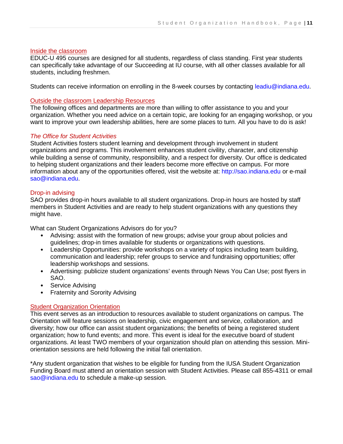#### Inside the classroom

EDUC-U 495 courses are designed for all students, regardless of class standing. First year students can specifically take advantage of our Succeeding at IU course, with all other classes available for all students, including freshmen.

Students can receive information on enrolling in the 8-week courses by contacting leadiu@indiana.edu.

#### Outside the classroom Leadership Resources

The following offices and departments are more than willing to offer assistance to you and your organization. Whether you need advice on a certain topic, are looking for an engaging workshop, or you want to improve your own leadership abilities, here are some places to turn. All you have to do is ask!

#### *The Office for Student Activities*

Student Activities fosters student learning and development through involvement in student organizations and programs. This involvement enhances student civility, character, and citizenship while building a sense of community, responsibility, and a respect for diversity. Our office is dedicated to helping student organizations and their leaders become more effective on campus. For more information about any of the opportunities offered, visit the website at: http://sao.indiana.edu or e-mail sao@indiana.edu.

#### Drop-in advising

SAO provides drop-in hours available to all student organizations. Drop-in hours are hosted by staff members in Student Activities and are ready to help student organizations with any questions they might have.

What can Student Organizations Advisors do for you?

- Advising: assist with the formation of new groups; advise your group about policies and guidelines; drop-in times available for students or organizations with questions.
- Leadership Opportunities: provide workshops on a variety of topics including team building, communication and leadership; refer groups to service and fundraising opportunities; offer leadership workshops and sessions.
- Advertising: publicize student organizations' events through News You Can Use; post flyers in SAO.
- Service Advising
- Fraternity and Sorority Advising

#### Student Organization Orientation

This event serves as an introduction to resources available to student organizations on campus. The Orientation will feature sessions on leadership, civic engagement and service, collaboration, and diversity; how our office can assist student organizations; the benefits of being a registered student organization; how to fund events; and more. This event is ideal for the executive board of student organizations. At least TWO members of your organization should plan on attending this session. Miniorientation sessions are held following the initial fall orientation.

\*Any student organization that wishes to be eligible for funding from the IUSA Student Organization Funding Board must attend an orientation session with Student Activities. Please call 855-4311 or email sao@indiana.edu to schedule a make-up session.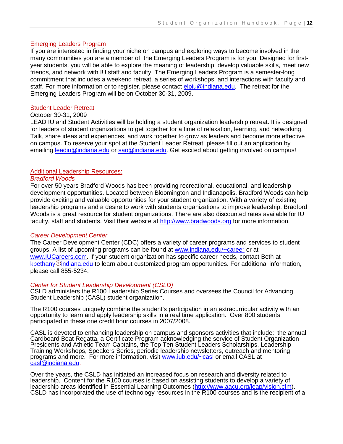#### Emerging Leaders Program

If you are interested in finding your niche on campus and exploring ways to become involved in the many communities you are a member of, the Emerging Leaders Program is for you! Designed for firstyear students, you will be able to explore the meaning of leadership, develop valuable skills, meet new friends, and network with IU staff and faculty. The Emerging Leaders Program is a semester-long commitment that includes a weekend retreat, a series of workshops, and interactions with faculty and staff. For more information or to register, please contact *elpiu@indiana.edu*. The retreat for the Emerging Leaders Program will be on October 30-31, 2009.

#### Student Leader Retreat

#### October 30-31, 2009

LEAD IU and Student Activities will be holding a student organization leadership retreat. It is designed for leaders of student organizations to get together for a time of relaxation, learning, and networking. Talk, share ideas and experiences, and work together to grow as leaders and become more effective on campus. To reserve your spot at the Student Leader Retreat, please fill out an application by emailing [leadiu@indiana.edu](mailto:leadiu@indiana.edu) or [sao@indiana.edu.](mailto:sao@indiana.edu) Get excited about getting involved on campus!

#### Additional Leadership Resources:

#### *Bradford Woods*

For over 50 years Bradford Woods has been providing recreational, educational, and leadership development opportunities. Located between Bloomington and Indianapolis, Bradford Woods can help provide exciting and valuable opportunities for your student organization. With a variety of existing leadership programs and a desire to work with students organizations to improve leadership, Bradford Woods is a great resource for student organizations. There are also discounted rates available for IU faculty, staff and students. Visit their website at [http://www.bradwoods.org](http://www.bradwoods.org/) for more information.

#### *Career Development Center*

The Career Development Center (CDC) offers a variety of career programs and services to student groups. A list of upcoming programs can be found at [www.indiana.edu/~career](http://www.indiana.edu/~career) or at [www.IUCareers.com.](http://www.iucareers.com/) If your student organization has specific career needs, contact Beth at kbethany  $@$  [indiana.edu](http://www.indiana.edu/~career/mail.php?usr=kbethany) to learn about customized program opportunities. For additional information, please call 855-5234.

#### *Center for Student Leadership Development (CSLD)*

CSLD administers the R100 Leadership Series Courses and oversees the Council for Advancing Student Leadership (CASL) student organization.

The R100 courses uniquely combine the student's participation in an extracurricular activity with an opportunity to learn and apply leadership skills in a real time application. Over 800 students participated in these one credit hour courses in 2007/2008.

CASL is devoted to enhancing leadership on campus and sponsors activities that include: the annual Cardboard Boat Regatta, a Certificate Program acknowledging the service of Student Organization Presidents and Athletic Team Captains, the Top Ten Student Leaders Scholarships, Leadership Training Workshops, Speakers Series, periodic leadership newsletters, outreach and mentoring programs and more. For more information, visit [www.iub.edu/~casl](http://www.iub.edu/~casl) or email CASL at [casl@indiana.edu.](mailto:casl@indiana.edu)

Over the years, the CSLD has initiated an increased focus on research and diversity related to leadership. Content for the R100 courses is based on assisting students to develop a variety of leadership areas identified in Essential Learning Outcomes [\(http://www.aacu.org/leap/vision.cfm\)](http://www.aacu.org/leap/vision.cfm). CSLD has incorporated the use of technology resources in the R100 courses and is the recipient of a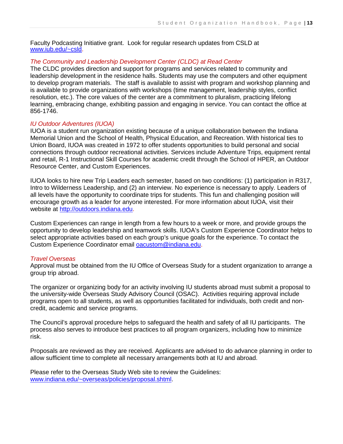Faculty Podcasting Initiative grant. Look for regular research updates from CSLD at [www.iub.edu/~csld.](http://www.iub.edu/~csld)

#### *The Community and Leadership Development Center (CLDC) at Read Center*

The CLDC provides direction and support for programs and services related to community and leadership development in the residence halls. Students may use the computers and other equipment to develop program materials. The staff is available to assist with program and workshop planning and is available to provide organizations with workshops (time management, leadership styles, conflict resolution, etc.). The core values of the center are a commitment to pluralism, practicing lifelong learning, embracing change, exhibiting passion and engaging in service. You can contact the office at 856-1746.

#### *IU Outdoor Adventures (IUOA)*

IUOA is a student run organization existing because of a unique collaboration between the Indiana Memorial Union and the School of Health, Physical Education, and Recreation. With historical ties to Union Board, IUOA was created in 1972 to offer students opportunities to build personal and social connections through outdoor recreational activities. Services include Adventure Trips, equipment rental and retail, R-1 Instructional Skill Courses for academic credit through the School of HPER, an Outdoor Resource Center, and Custom Experiences.

IUOA looks to hire new Trip Leaders each semester, based on two conditions: (1) participation in R317, Intro to Wilderness Leadership, and (2) an interview. No experience is necessary to apply. Leaders of all levels have the opportunity to coordinate trips for students. This fun and challenging position will encourage growth as a leader for anyone interested. For more information about IUOA, visit their website at [http://outdoors.indiana.edu.](http://outdoors.indiana.edu/)

Custom Experiences can range in length from a few hours to a week or more, and provide groups the opportunity to develop leadership and teamwork skills. IUOA's Custom Experience Coordinator helps to select appropriate activities based on each group's unique goals for the experience. To contact the Custom Experience Coordinator email [oacustom@indiana.edu.](mailto:oacustom@indiana.edu)

#### *Travel Overseas*

Approval must be obtained from the IU Office of Overseas Study for a student organization to arrange a group trip abroad.

The organizer or organizing body for an activity involving IU students abroad must submit a proposal to the university-wide Overseas Study Advisory Council (OSAC). Activities requiring approval include programs open to all students, as well as opportunities facilitated for individuals, both credit and noncredit, academic and service programs.

The Council's approval procedure helps to safeguard the health and safety of all IU participants. The process also serves to introduce best practices to all program organizers, including how to minimize risk.

Proposals are reviewed as they are received. Applicants are advised to do advance planning in order to allow sufficient time to complete all necessary arrangements both at IU and abroad.

Please refer to the Overseas Study Web site to review the Guidelines: [www.indiana.edu/~overseas/policies/proposal.shtml.](http://www.indiana.edu/~overseas/policies/proposal.shtml)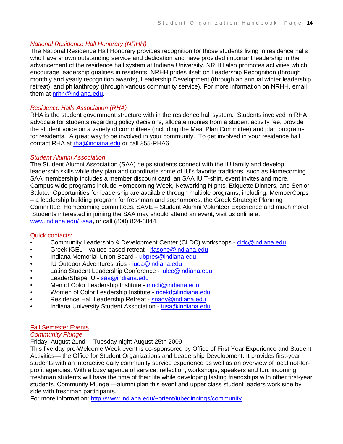# *National Residence Hall Honorary (NRHH)*

The National Residence Hall Honorary provides recognition for those students living in residence halls who have shown outstanding service and dedication and have provided important leadership in the advancement of the residence hall system at Indiana University. NRHH also promotes activities which encourage leadership qualities in residents. NRHH prides itself on Leadership Recognition (through monthly and yearly recognition awards), Leadership Development (through an annual winter leadership retreat), and philanthropy (through various community service). For more information on NRHH, email them at [nrhh@indiana.edu.](mailto:nrhh@indiana.edu)

## *Residence Halls Association (RHA)*

RHA is the student government structure with in the residence hall system. Students involved in RHA advocate for students regarding policy decisions, allocate monies from a student activity fee, provide the student voice on a variety of committees (including the Meal Plan Committee) and plan programs for residents. A great way to be involved in your community. To get involved in your residence hall contact RHA at [rha@indiana.edu](mailto:rha@indiana.edu) or call 855-RHA6

#### *Student Alumni Association*

The Student Alumni Association (SAA) helps students connect with the IU family and develop leadership skills while they plan and coordinate some of IU's favorite traditions, such as Homecoming. SAA membership includes a member discount card, an SAA IU T-shirt, event invites and more. Campus wide programs include Homecoming Week, Networking Nights, Etiquette Dinners, and Senior Salute. Opportunities for leadership are available through multiple programs, including: MemberCorps – a leadership building program for freshman and sophomores, the Greek Strategic Planning Committee, Homecoming committees, SAVE – Student Alumni Volunteer Experience and much more! Students interested in joining the SAA may should attend an event, visit us online at [www.indiana.edu/~saa](http://www.indiana.edu/~saa)**,** or call (800) 824-3044.

#### Quick contacts:

- Community Leadership & Development Center (CLDC) workshops [cldc@indiana.edu](mailto:cldc@indiana.edu)
- Greek iGEL—values based retreat Ifasone@indiana.edu
- Indiana Memorial Union Board [ubpres@indiana.edu](mailto:ubpres@indiana.edu)
- IU Outdoor Adventures trips [iuoa@indiana.edu](mailto:iuoa@indiana.edu)
- Latino Student Leadership Conference [iulec@indiana.edu](mailto:iulec@indiana.edu)
- LeaderShape IU [saa@indiana.edu](mailto:saa@indiana.edu)
- Men of Color Leadership Institute [mocli@indiana.edu](mailto:mocli@indiana.edu)
- Women of Color Leadership Institute [ricekd@indiana.edu](mailto:ricekd@indiana.edu)
- Residence Hall Leadership Retreat snagy@indiana.edu
- Indiana University Student Association [iusa@indiana.edu](mailto:iusa@indiana.edu)

#### Fall Semester Events

#### *Community Plunge*

Friday, August 21nd— Tuesday night August 25th 2009

This five day pre-Welcome Week event is co-sponsored by Office of First Year Experience and Student Activities— the Office for Student Organizations and Leadership Development. It provides first-year students with an interactive daily community service experience as well as an overview of local not-forprofit agencies. With a busy agenda of service, reflection, workshops, speakers and fun, incoming freshman students will have the time of their life while developing lasting friendships with other first-year students. Community Plunge ―alumni plan this event and upper class student leaders work side by side with freshman participants.

For more information:<http://www.indiana.edu/~orient/iubeginnings/community>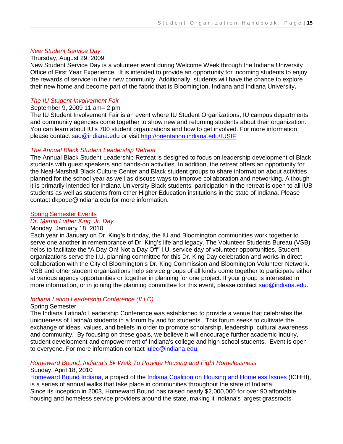#### *New Student Service Day*

#### Thursday, August 29, 2009

New Student Service Day is a volunteer event during Welcome Week through the Indiana University Office of First Year Experience. It is intended to provide an opportunity for incoming students to enjoy the rewards of service in their new community. Additionally, students will have the chance to explore their new home and become part of the fabric that is Bloomington, Indiana and Indiana University**.**

#### *The IU Student Involvement Fair*

#### September 9, 2009 11 am– 2 pm

The IU Student Involvement Fair is an event where IU Student Organizations, IU campus departments and community agencies come together to show new and returning students about their organization. You can learn about IU's 700 student organizations and how to get involved. For more information please contact sao@indiana.edu or visit [http://orientation.indiana.edu/IUSIF.](http://orientation.indiana.edu/IUSIF)

#### *The Annual Black Student Leadership Retreat*

The Annual Black Student Leadership Retreat is designed to focus on leadership development of Black students with guest speakers and hands-on activities. In addition, the retreat offers an opportunity for the Neal-Marshall Black Culture Center and Black student groups to share information about activities planned for the school year as well as discuss ways to improve collaboration and networking. Although it is primarily intended for Indiana University Black students, participation in the retreat is open to all IUB students as well as students from other Higher Education institutions in the state of Indiana. Please contact [dkpope@indiana.edu](mailto:dkpope@indiana.edu) for more information.

#### Spring Semester Events

#### *Dr. Martin Luther King, Jr. Day*

#### Monday, January 18, 2010

Each year in January on Dr. King's birthday, the IU and Bloomington communities work together to serve one another in remembrance of Dr. King's life and legacy. The Volunteer Students Bureau (VSB) helps to facilitate the "A Day On! Not a Day Off" I.U. service day of volunteer opportunities. Student organizations serve the I.U. planning committee for this Dr. King Day celebration and works in direct collaboration with the City of Bloomington's Dr. King Commission and Bloomington Volunteer Network. VSB and other student organizations help service groups of all kinds come together to participate either at various agency opportunities or together in planning for one project. If your group is interested in more information, or in joining the planning committee for this event, please contact [sao@indiana.edu.](mailto:sao@indiana.edu)

#### *Indiana Latino Leadership Conference (ILLC)*

#### Spring Semester

The Indiana Latina/o Leadership Conference was established to provide a venue that celebrates the uniqueness of Latina/o students in a forum by and for students. This forum seeks to cultivate the exchange of ideas, values, and beliefs in order to promote scholarship, leadership, cultural awareness and community. By focusing on these goals, we believe it will encourage further academic inquiry, student development and empowerment of Indiana's college and high school students. Event is open to everyone. For more information contact *iulec@indiana.edu.* 

#### *Homeward Bound, Indiana's 5k Walk To Provide Housing and Fight Homelessness*  Sunday, April 18, 2010

[Homeward Bound Indiana,](http://homewardboundindiana.org/) a project of the [Indiana Coalition on Housing and Homeless Issues](http://ichhi.org/) (ICHHI), is a series of annual walks that take place in communities throughout the state of Indiana. Since its inception in 2003, Homeward Bound has raised nearly \$2,000,000 for over 90 affordable housing and homeless service providers around the state, making it Indiana's largest grassroots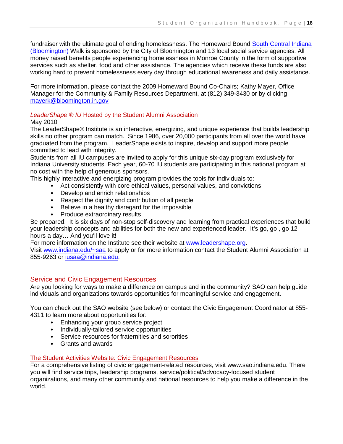fundraiser with the ultimate goal of ending homelessness. The Homeward Bound South Central Indiana [\(Bloomington\)](http://homewardboundindiana.org/bloomington) Walk is sponsored by the City of Bloomington and 13 local social service agencies. All money raised benefits people experiencing homelessness in Monroe County in the form of supportive services such as shelter, food and other assistance. The agencies which receive these funds are also working hard to prevent homelessness every day through educational awareness and daily assistance.

For more information, please contact the 2009 Homeward Bound Co-Chairs; Kathy Mayer, Office Manager for the Community & Family Resources Department, at (812) 349-3430 or by clicking [mayerk@bloomington.in.gov](mailto:mayerk@bloomington.in.gov)

# *LeaderShape ® IU* Hosted by the Student Alumni Association

#### May 2010

The LeaderShape® Institute is an interactive, energizing, and unique experience that builds leadership skills no other program can match. Since 1986, over 20,000 participants from all over the world have graduated from the program. LeaderShape exists to inspire, develop and support more people committed to lead with integrity.

Students from all IU campuses are invited to apply for this unique six-day program exclusively for Indiana University students. Each year, 60-70 IU students are participating in this national program at no cost with the help of generous sponsors.

This highly interactive and energizing program provides the tools for individuals to:

- Act consistently with core ethical values, personal values, and convictions
- Develop and enrich relationships
- Respect the dignity and contribution of all people
- Believe in a healthy disregard for the impossible
- Produce extraordinary results

Be prepared! It is six days of non-stop self-discovery and learning from practical experiences that build your leadership concepts and abilities for both the new and experienced leader. It's go, go , go 12 hours a day… And you'll love it!

For more information on the Institute see their website at [www.leadershape.org.](http://www.leadershape.org/)

Visit [www.indiana.edu/~saa](http://www.indiana.edu/~saa) to apply or for more information contact the Student Alumni Association at 855-9263 or [iusaa@indiana.edu.](mailto:iusaa@indiana.edu)

# Service and Civic Engagement Resources

Are you looking for ways to make a difference on campus and in the community? SAO can help guide individuals and organizations towards opportunities for meaningful service and engagement.

You can check out the SAO website (see below) or contact the Civic Engagement Coordinator at 855- 4311 to learn more about opportunities for:

- Enhancing your group service project
- Individually-tailored service opportunities
- Service resources for fraternities and sororities
- Grants and awards

#### The Student Activities Website: Civic Engagement Resources

For a comprehensive listing of civic engagement-related resources, visit www.sao.indiana.edu. There you will find service trips, leadership programs, service/political/advocacy-focused student organizations, and many other community and national resources to help you make a difference in the world.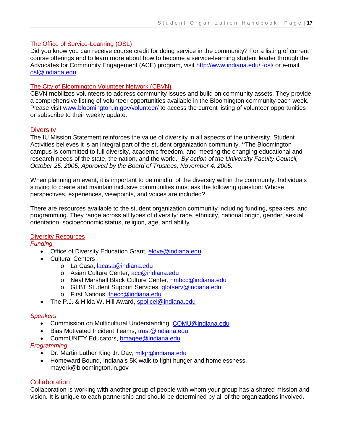#### The Office of Service-Learning (OSL)

Did you know you can receive course credit for doing service in the community? For a listing of current course offerings and to learn more about how to become a service-learning student leader through the Advocates for Community Engagement (ACE) program, visit<http://www.indiana.edu/~osl/> or e-mail [osl@indiana.edu.](mailto:osl@indiana.edu)

#### The City of Bloomington Volunteer Network (CBVN)

CBVN mobilizes volunteers to address community issues and build on community assets. They provide a comprehensive listing of volunteer opportunities available in the Bloomington community each week. Please visit [www.bloomington.in.gov/volunteer/](http://www.bloomington.in.gov/volunteer/) to access the current listing of volunteer opportunities or subscribe to their weekly update.

#### **Diversity**

The IU Mission Statement reinforces the value of diversity in all aspects of the university. Student Activities believes it is an integral part of the student organization community. **"**The Bloomington campus is committed to full diversity, academic freedom, and meeting the changing educational and research needs of the state, the nation, and the world." *By action of the University Faculty Council, October 25, 2005, Approved by the Board of Trustees, November 4, 2005.* 

When planning an event, it is important to be mindful of the diversity within the community. Individuals striving to create and maintain inclusive communities must ask the following question: Whose perspectives, experiences, viewpoints, and voices are included?

There are resources available to the student organization community including funding, speakers, and programming. They range across all types of diversity: race, ethnicity, national origin, gender, sexual orientation, socioeconomic status, religion, age, and ability.

#### Diversity Resources

*Funding*

- Office of Diversity Education Grant, [elove@indiana.edu](mailto:elove@indiana.edu)
- Cultural Centers
	- o La Casa, [lacasa@indiana.edu](mailto:lacasa@indiana.edu)
	- o Asian Culture Center, [acc@indiana.edu](mailto:acc@indiana.edu)
	- o Neal Marshall Black Culture Center, [nmbcc@indiana.edu](mailto:nmbcc@indiana.edu)
	- o GLBT Student Support Services, [glbtserv@indiana.edu](mailto:glbtserv@indiana.edu)
	- o First Nations, [fnecc@indiana.edu](mailto:fnecc@indiana.edu)
- The P.J. & Hilda W. Hill Award, [spolicel@indiana.edu](mailto:spolicel@indiana.edu)

#### *Speakers*

- Commission on Multicultural Understanding, [COMU@indiana.edu](mailto:COMU@indiana.edu)
- Bias Motivated Incident Teams, [trust@indiana.edu](mailto:trust@indiana.edu)
- CommUNITY Educators, [bmagee@indiana.edu](mailto:bmagee@indiana.edu)

#### *Programming*

- Dr. Martin Luther King Jr. Day, [mlkjr@indiana.edu](mailto:mlkjr@indiana.edu)
- Homeward Bound, Indiana's 5K walk to fight hunger and homelessness, mayerk@bloomington.in.gov

## **Collaboration**

Collaboration is working with another group of people with whom your group has a shared mission and vision. It is unique to each partnership and should be determined by all of the organizations involved.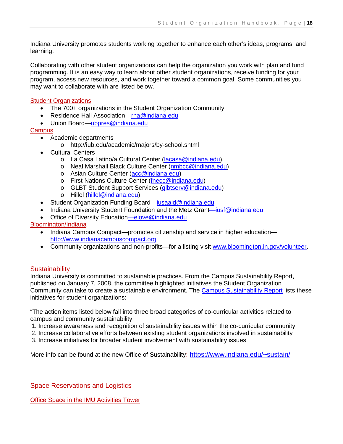Indiana University promotes students working together to enhance each other's ideas, programs, and learning.

Collaborating with other student organizations can help the organization you work with plan and fund programming. It is an easy way to learn about other student organizations, receive funding for your program, access new resources, and work together toward a common goal. Some communities you may want to collaborate with are listed below.

#### **Student Organizations**

- The 700+ organizations in the Student Organization Community
- Residence Hall [Association—rha@indiana.edu](mailto:Association—rha@indiana.edu)
- Union [Board—ubpres@indiana.edu](mailto:Board—ubpres@indiana.edu)

**Campus** 

- Academic departments
	- o http://iub.edu/academic/majors/by-school.shtml
- Cultural Centers–
	- o La Casa Latino/a Cultural Center [\(lacasa@indiana.edu\)](mailto:lacasa@indiana.edu),
	- o Neal Marshall Black Culture Center [\(nmbcc@indiana.edu\)](mailto:nmbcc@indiana.edu)
	- o Asian Culture Center [\(acc@indiana.edu\)](mailto:acc@indiana.edu)
	- o First Nations Culture Center [\(fnecc@indiana.edu\)](mailto:fnecc@indiana.edu)
	- o GLBT Student Support Services [\(glbtserv@indiana.edu\)](mailto:glbtserv@indiana.edu)
	- o Hillel [\(hillel@indiana.edu\)](mailto:hillel@indiana.edu)
- Student Organization Funding [Board—iusaaid@indiana.edu](mailto:Board—iusaaid@indiana.edu)
- Indiana University Student Foundation and the Metz [Grant—iusf@indiana.edu](mailto:Grant—iusf@indiana.edu)
- Office of Diversity [Education—elove@indiana.edu](mailto:Education—elove@indiana.edu)

Bloomington/Indiana

- Indiana Campus Compact—promotes citizenship and service in higher education [http://www.indianacampuscompact.org](http://www.indianacampuscompact.org/)
- Community organizations and non-profits—for a listing visit [www.bloomington.in.gov/volunteer.](http://www.bloomington.in.gov/volunteer)

#### **Sustainability**

Indiana University is committed to sustainable practices. From the Campus Sustainability Report, published on January 7, 2008, the committee highlighted initiatives the Student Organization Community can take to create a sustainable environment. The [Campus Sustainability Report](https://www.indiana.edu/~sustain/wp-content/uploads/Campus_Sustainability_Report.pdf) lists these initiatives for student organizations:

"The action items listed below fall into three broad categories of co-curricular activities related to campus and community sustainability:

1. Increase awareness and recognition of sustainability issues within the co-curricular community

2. Increase collaborative efforts between existing student organizations involved in sustainability

3. Increase initiatives for broader student involvement with sustainability issues

More info can be found at the new Office of Sustainability:<https://www.indiana.edu/~sustain/>

Space Reservations and Logistics

Office Space in the IMU Activities Tower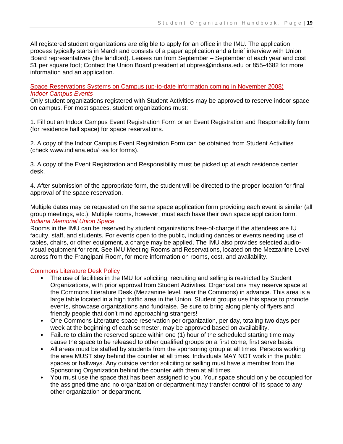All registered student organizations are eligible to apply for an office in the IMU. The application process typically starts in March and consists of a paper application and a brief interview with Union Board representatives (the landlord). Leases run from September – September of each year and cost \$1 per square foot; Contact the Union Board president at ubpres@indiana.edu or 855-4682 for more information and an application.

Space Reservations Systems on Campus (up-to-date information coming in November 2008) *Indoor Campus Events* 

Only student organizations registered with Student Activities may be approved to reserve indoor space on campus. For most spaces, student organizations must:

1. Fill out an Indoor Campus Event Registration Form or an Event Registration and Responsibility form (for residence hall space) for space reservations.

2. A copy of the Indoor Campus Event Registration Form can be obtained from Student Activities (check www.indiana.edu/~sa for forms).

3. A copy of the Event Registration and Responsibility must be picked up at each residence center desk.

4. After submission of the appropriate form, the student will be directed to the proper location for final approval of the space reservation.

Multiple dates may be requested on the same space application form providing each event is similar (all group meetings, etc.). Multiple rooms, however, must each have their own space application form. *Indiana Memorial Union Space* 

Rooms in the IMU can be reserved by student organizations free-of-charge if the attendees are IU faculty, staff, and students. For events open to the public, including dances or events needing use of tables, chairs, or other equipment, a charge may be applied. The IMU also provides selected audiovisual equipment for rent. See IMU Meeting Rooms and Reservations, located on the Mezzanine Level across from the Frangipani Room, for more information on rooms, cost, and availability.

#### Commons Literature Desk Policy

- The use of facilities in the IMU for soliciting, recruiting and selling is restricted by Student Organizations, with prior approval from Student Activities. Organizations may reserve space at the Commons Literature Desk (Mezzanine level, near the Commons) in advance. This area is a large table located in a high traffic area in the Union. Student groups use this space to promote events, showcase organizations and fundraise. Be sure to bring along plenty of flyers and friendly people that don't mind approaching strangers!
- One Commons Literature space reservation per organization, per day, totaling two days per week at the beginning of each semester, may be approved based on availability.
- Failure to claim the reserved space within one (1) hour of the scheduled starting time may cause the space to be released to other qualified groups on a first come, first serve basis.
- All areas must be staffed by students from the sponsoring group at all times. Persons working the area MUST stay behind the counter at all times. Individuals MAY NOT work in the public spaces or hallways. Any outside vendor soliciting or selling must have a member from the Sponsoring Organization behind the counter with them at all times.
- You must use the space that has been assigned to you. Your space should only be occupied for the assigned time and no organization or department may transfer control of its space to any other organization or department.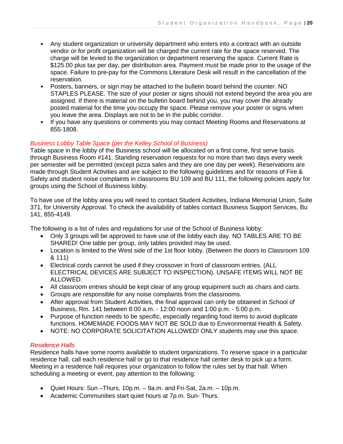- Any student organization or university department who enters into a contract with an outside vendor or for profit organization will be charged the current rate for the space reserved. The charge will be levied to the organization or department reserving the space. Current Rate is \$125.00 plus tax per day, per distribution area. Payment must be made prior to the usage of the space. Failure to pre-pay for the Commons Literature Desk will result in the cancellation of the reservation.
- Posters, banners, or sign may be attached to the bulletin board behind the counter. NO STAPLES PLEASE. The size of your poster or signs should not extend beyond the area you are assigned. If there is material on the bulletin board behind you, you may cover the already posted material for the time you occupy the space. Please remove your poster or signs when you leave the area. Displays are not to be in the public corridor.
- If you have any questions or comments you may contact Meeting Rooms and Reservations at 855-1808.

# *Business Lobby Table Space (per the Kelley School of Business)*

Table space in the lobby of the Business school will be allocated on a first come, first serve basis through Business Room #141. Standing reservation requests for no more than two days every week per semester will be permitted (except pizza sales and they are one day per week). Reservations are made through Student Activities and are subject to the following guidelines and for reasons of Fire & Safety and student noise complaints in classrooms BU 109 and BU 111, the following policies apply for groups using the School of Business lobby.

To have use of the lobby area you will need to contact Student Activities, Indiana Memorial Union, Suite 371, for University Approval. To check the availability of tables contact Business Support Services, Bu 141, 855-4149.

The following is a list of rules and regulations for use of the School of Business lobby:

- Only 3 groups will be approved to have use of the lobby each day. NO TABLES ARE TO BE SHARED! One table per group, only tables provided may be used.
- Location is limited to the West side of the 1st floor lobby. (Between the doors to Classroom 109 & 111)
- Electrical cords cannot be used if they crossover in front of classroom entries. (ALL ELECTRICAL DEVICES ARE SUBJECT TO INSPECTION). UNSAFE ITEMS WILL NOT BE ALLOWED.
- All classroom entries should be kept clear of any group equipment such as chairs and carts.
- Groups are responsible for any noise complaints from the classrooms.
- After approval from Student Activities, the final approval can only be obtained in School of Business, Rm. 141 between 8:00 a.m. - 12:00 noon and 1:00 p.m. - 5:00 p.m.
- Purpose of function needs to be specific, especially regarding food items to avoid duplicate functions. HOMEMADE FOODS MAY NOT BE SOLD due to Environmental Health & Safety.
- NOTE: NO CORPORATE SOLICITATION ALLOWED! ONLY students may use this space.

# *Residence Halls*

Residence halls have some rooms available to student organizations. To reserve space in a particular residence hall, call each residence hall or go to that residence hall center desk to pick up a form. Meeting in a residence hall requires your organization to follow the rules set by that hall. When scheduling a meeting or event, pay attention to the following:

- Quiet Hours: Sun –Thurs, 10p.m. 9a.m. and Fri-Sat, 2a.m. 10p.m.
- Academic Communities start quiet hours at 7p.m. Sun- Thurs.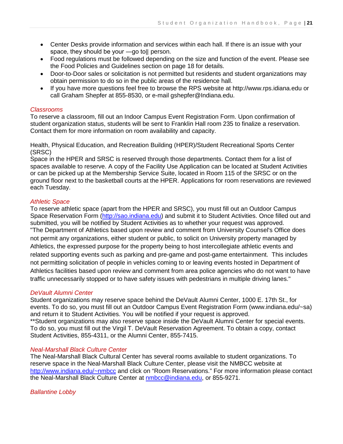- Center Desks provide information and services within each hall. If there is an issue with your space, they should be your —go toll person.
- Food regulations must be followed depending on the size and function of the event. Please see the Food Policies and Guidelines section on page 18 for details.
- Door-to-Door sales or solicitation is not permitted but residents and student organizations may obtain permission to do so in the public areas of the residence hall.
- If you have more questions feel free to browse the RPS website at http://www.rps.idiana.edu or call Graham Shepfer at 855-8530, or e-mail gshepfer@Indiana.edu.

#### *Classrooms*

To reserve a classroom, fill out an Indoor Campus Event Registration Form. Upon confirmation of student organization status, students will be sent to Franklin Hall room 235 to finalize a reservation. Contact them for more information on room availability and capacity.

Health, Physical Education, and Recreation Building (HPER)/Student Recreational Sports Center (SRSC)

Space in the HPER and SRSC is reserved through those departments. Contact them for a list of spaces available to reserve. A copy of the Facility Use Application can be located at Student Activities or can be picked up at the Membership Service Suite, located in Room 115 of the SRSC or on the ground floor next to the basketball courts at the HPER. Applications for room reservations are reviewed each Tuesday.

#### *Athletic Space*

To reserve athletic space (apart from the HPER and SRSC), you must fill out an Outdoor Campus Space Reservation Form [\(http://sao.indiana.edu\)](http://sao.indiana.edu/) and submit it to Student Activities. Once filled out and submitted, you will be notified by Student Activities as to whether your request was approved. "The Department of Athletics based upon review and comment from University Counsel's Office does not permit any organizations, either student or public, to solicit on University property managed by Athletics, the expressed purpose for the property being to host intercollegiate athletic events and related supporting events such as parking and pre-game and post-game entertainment. This includes not permitting solicitation of people in vehicles coming to or leaving events hosted in Department of Athletics facilities based upon review and comment from area police agencies who do not want to have traffic unnecessarily stopped or to have safety issues with pedestrians in multiple driving lanes."

#### *DeVault Alumni Center*

Student organizations may reserve space behind the DeVault Alumni Center, 1000 E. 17th St., for events. To do so, you must fill out an Outdoor Campus Event Registration Form (www.indiana.edu/~sa) and return it to Student Activities. You will be notified if your request is approved. \*\*Student organizations may also reserve space inside the DeVault Alumni Center for special events. To do so, you must fill out the Virgil T. DeVault Reservation Agreement. To obtain a copy, contact Student Activities, 855-4311, or the Alumni Center, 855-7415.

#### *Neal-Marshall Black Culture Center*

The Neal-Marshall Black Cultural Center has several rooms available to student organizations. To reserve space in the Neal-Marshall Black Culture Center, please visit the NMBCC website at <http://www.indiana.edu/~nmbcc> and click on "Room Reservations." For more information please contact the Neal-Marshall Black Culture Center at [nmbcc@indiana.edu,](mailto:nmbcc@indiana.edu) or 855-9271.

#### *Ballantine Lobby*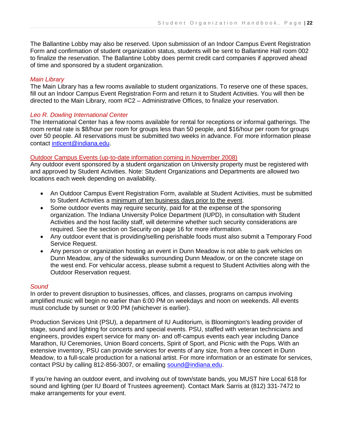The Ballantine Lobby may also be reserved. Upon submission of an Indoor Campus Event Registration Form and confirmation of student organization status, students will be sent to Ballantine Hall room 002 to finalize the reservation. The Ballantine Lobby does permit credit card companies if approved ahead of time and sponsored by a student organization.

#### *Main Library*

The Main Library has a few rooms available to student organizations. To reserve one of these spaces, fill out an Indoor Campus Event Registration Form and return it to Student Activities. You will then be directed to the Main Library, room #C2 – Administrative Offices, to finalize your reservation.

#### *Leo R. Dowling International Center*

The International Center has a few rooms available for rental for receptions or informal gatherings. The room rental rate is \$8/hour per room for groups less than 50 people, and \$16/hour per room for groups over 50 people. All reservations must be submitted two weeks in advance. For more information please contact [intlcent@indiana.edu.](mailto:intlcent@indiana.edu)

#### Outdoor Campus Events (up-to-date information coming in November 2008)

Any outdoor event sponsored by a student organization on University property must be registered with and approved by Student Activities. Note: Student Organizations and Departments are allowed two locations each week depending on availability.

- An Outdoor Campus Event Registration Form, available at Student Activities, must be submitted to Student Activities a minimum of ten business days prior to the event.
- Some outdoor events may require security, paid for at the expense of the sponsoring organization. The Indiana University Police Department (IUPD), in consultation with Student Activities and the host facility staff, will determine whether such security considerations are required. See the section on Security on page 16 for more information.
- Any outdoor event that is providing/selling perishable foods must also submit a Temporary Food Service Request.
- Any person or organization hosting an event in Dunn Meadow is not able to park vehicles on Dunn Meadow, any of the sidewalks surrounding Dunn Meadow, or on the concrete stage on the west end. For vehicular access, please submit a request to Student Activities along with the Outdoor Reservation request.

#### *Sound*

In order to prevent disruption to businesses, offices, and classes, programs on campus involving amplified music will begin no earlier than 6:00 PM on weekdays and noon on weekends. All events must conclude by sunset or 9:00 PM (whichever is earlier).

Production Services Unit (PSU), a department of IU Auditorium, is Bloomington's leading provider of stage, sound and lighting for concerts and special events. PSU, staffed with veteran technicians and engineers, provides expert service for many on- and off-campus events each year including Dance Marathon, IU Ceremonies, Union Board concerts, Spirit of Sport, and Picnic with the Pops. With an extensive inventory, PSU can provide services for events of any size, from a free concert in Dunn Meadow, to a full-scale production for a national artist. For more information or an estimate for services, contact PSU by calling 812-856-3007, or emailing [sound@indiana.edu.](mailto:sound@indiana.edu)

If you're having an outdoor event, and involving out of town/state bands, you MUST hire Local 618 for sound and lighting (per IU Board of Trustees agreement). Contact Mark Sarris at (812) 331-7472 to make arrangements for your event.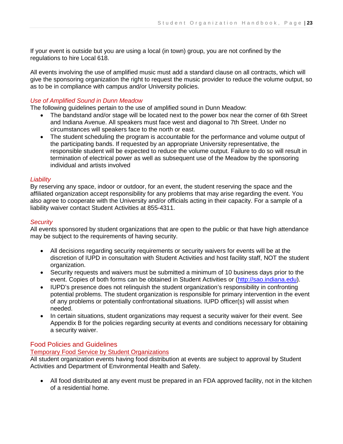If your event is outside but you are using a local (in town) group, you are not confined by the regulations to hire Local 618.

All events involving the use of amplified music must add a standard clause on all contracts, which will give the sponsoring organization the right to request the music provider to reduce the volume output, so as to be in compliance with campus and/or University policies.

# *Use of Amplified Sound in Dunn Meadow*

The following guidelines pertain to the use of amplified sound in Dunn Meadow:

- The bandstand and/or stage will be located next to the power box near the corner of 6th Street and Indiana Avenue. All speakers must face west and diagonal to 7th Street. Under no circumstances will speakers face to the north or east.
- The student scheduling the program is accountable for the performance and volume output of the participating bands. If requested by an appropriate University representative, the responsible student will be expected to reduce the volume output. Failure to do so will result in termination of electrical power as well as subsequent use of the Meadow by the sponsoring individual and artists involved

#### *Liability*

By reserving any space, indoor or outdoor, for an event, the student reserving the space and the affiliated organization accept responsibility for any problems that may arise regarding the event. You also agree to cooperate with the University and/or officials acting in their capacity. For a sample of a liability waiver contact Student Activities at 855-4311.

#### *Security*

All events sponsored by student organizations that are open to the public or that have high attendance may be subject to the requirements of having security.

- All decisions regarding security requirements or security waivers for events will be at the discretion of IUPD in consultation with Student Activities and host facility staff, NOT the student organization.
- Security requests and waivers must be submitted a minimum of 10 business days prior to the event. Copies of both forms can be obtained in Student Activities or [\(http://sao.indiana.edu\)](http://sao.indiana.edu/).
- IUPD's presence does not relinquish the student organization's responsibility in confronting potential problems. The student organization is responsible for primary intervention in the event of any problems or potentially confrontational situations. IUPD officer(s) will assist when needed.
- In certain situations, student organizations may request a security waiver for their event. See Appendix B for the policies regarding security at events and conditions necessary for obtaining a security waiver.

# Food Policies and Guidelines

#### Temporary Food Service by Student Organizations

All student organization events having food distribution at events are subject to approval by Student Activities and Department of Environmental Health and Safety.

• All food distributed at any event must be prepared in an FDA approved facility, not in the kitchen of a residential home.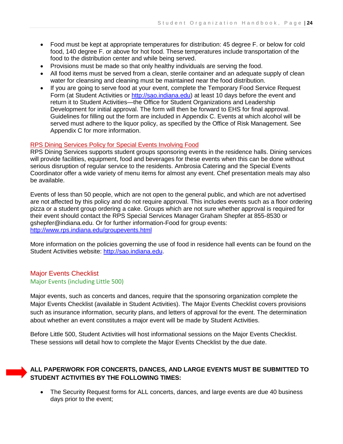- Food must be kept at appropriate temperatures for distribution: 45 degree F. or below for cold food, 140 degree F. or above for hot food. These temperatures include transportation of the food to the distribution center and while being served.
- Provisions must be made so that only healthy individuals are serving the food.
- All food items must be served from a clean, sterile container and an adequate supply of clean water for cleansing and cleaning must be maintained near the food distribution.
- If you are going to serve food at your event, complete the Temporary Food Service Request Form (at Student Activities or [http://sao.indiana.edu\)](http://sao.indiana.edu/) at least 10 days before the event and return it to Student Activities—the Office for Student Organizations and Leadership Development for initial approval. The form will then be forward to EHS for final approval. Guidelines for filling out the form are included in Appendix C. Events at which alcohol will be served must adhere to the liquor policy, as specified by the Office of Risk Management. See Appendix C for more information.

#### RPS Dining Services Policy for Special Events Involving Food

RPS Dining Services supports student groups sponsoring events in the residence halls. Dining services will provide facilities, equipment, food and beverages for these events when this can be done without serious disruption of regular service to the residents. Ambrosia Catering and the Special Events Coordinator offer a wide variety of menu items for almost any event. Chef presentation meals may also be available.

Events of less than 50 people, which are not open to the general public, and which are not advertised are not affected by this policy and do not require approval. This includes events such as a floor ordering pizza or a student group ordering a cake. Groups which are not sure whether approval is required for their event should contact the RPS Special Services Manager Graham Shepfer at 855-8530 or gshepfer@indiana.edu. Or for further information-Food for group events: <http://www.rps.indiana.edu/groupevents.html>

More information on the policies governing the use of food in residence hall events can be found on the Student Activities website: [http://sao.indiana.edu.](http://sao.indiana.edu/)

# Major Events Checklist Major Events (including Little 500)

Major events, such as concerts and dances, require that the sponsoring organization complete the Major Events Checklist (available in Student Activities). The Major Events Checklist covers provisions such as insurance information, security plans, and letters of approval for the event. The determination about whether an event constitutes a major event will be made by Student Activities.

Before Little 500, Student Activities will host informational sessions on the Major Events Checklist. These sessions will detail how to complete the Major Events Checklist by the due date.

# **ALL PAPERWORK FOR CONCERTS, DANCES, AND LARGE EVENTS MUST BE SUBMITTED TO STUDENT ACTIVITIES BY THE FOLLOWING TIMES:**

• The Security Request forms for ALL concerts, dances, and large events are due 40 business days prior to the event;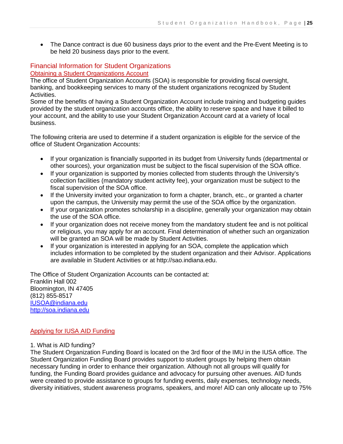• The Dance contract is due 60 business days prior to the event and the Pre-Event Meeting is to be held 20 business days prior to the event.

# Financial Information for Student Organizations

#### Obtaining a Student Organizations Account

The office of Student Organization Accounts (SOA) is responsible for providing fiscal oversight, banking, and bookkeeping services to many of the student organizations recognized by Student Activities.

Some of the benefits of having a Student Organization Account include training and budgeting guides provided by the student organization accounts office, the ability to reserve space and have it billed to your account, and the ability to use your Student Organization Account card at a variety of local business.

The following criteria are used to determine if a student organization is eligible for the service of the office of Student Organization Accounts:

- If your organization is financially supported in its budget from University funds (departmental or other sources), your organization must be subject to the fiscal supervision of the SOA office.
- If your organization is supported by monies collected from students through the University's collection facilities (mandatory student activity fee), your organization must be subject to the fiscal supervision of the SOA office.
- If the University invited your organization to form a chapter, branch, etc., or granted a charter upon the campus, the University may permit the use of the SOA office by the organization.
- If your organization promotes scholarship in a discipline, generally your organization may obtain the use of the SOA office.
- If your organization does not receive money from the mandatory student fee and is not political or religious, you may apply for an account. Final determination of whether such an organization will be granted an SOA will be made by Student Activities.
- If your organization is interested in applying for an SOA, complete the application which includes information to be completed by the student organization and their Advisor. Applications are available in Student Activities or at http://sao.indiana.edu.

The Office of Student Organization Accounts can be contacted at: Franklin Hall 002 Bloomington, IN 47405 (812) 855-8517 [IUSOA@indiana.edu](mailto:IUSOA@indiana.edu)  [http://soa.indiana.edu](http://soa.indiana.edu/)

#### Applying for IUSA AID Funding

#### 1. What is AID funding?

The Student Organization Funding Board is located on the 3rd floor of the IMU in the IUSA office. The Student Organization Funding Board provides support to student groups by helping them obtain necessary funding in order to enhance their organization. Although not all groups will qualify for funding, the Funding Board provides guidance and advocacy for pursuing other avenues. AID funds were created to provide assistance to groups for funding events, daily expenses, technology needs, diversity initiatives, student awareness programs, speakers, and more! AID can only allocate up to 75%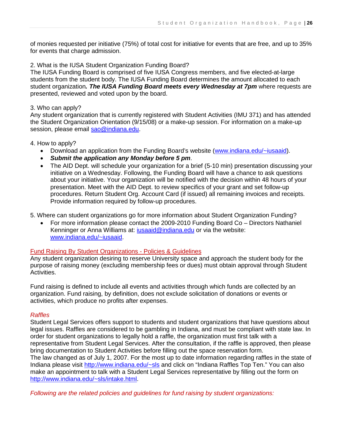of monies requested per initiative (75%) of total cost for initiative for events that are free, and up to 35% for events that charge admission.

#### 2. What is the IUSA Student Organization Funding Board?

The IUSA Funding Board is comprised of five IUSA Congress members, and five elected-at-large students from the student body. The IUSA Funding Board determines the amount allocated to each student organization*. The IUSA Funding Board meets every Wednesday at 7pm* where requests are presented, reviewed and voted upon by the board.

#### 3. Who can apply?

Any student organization that is currently registered with Student Activities (IMU 371) and has attended the Student Organization Orientation (9/15/08) or a make-up session. For information on a make-up session, please email [sao@indiana.edu.](mailto:sao@indiana.edu)

#### 4. How to apply?

- Download an application from the Funding Board's website [\(www.indiana.edu/~iusaaid\)](http://www.indiana.edu/~iusaaid).
- *Submit the application any Monday before 5 pm*.
- The AID Dept. will schedule your organization for a brief (5-10 min) presentation discussing your initiative on a Wednesday. Following, the Funding Board will have a chance to ask questions about your initiative. Your organization will be notified with the decision within 48 hours of your presentation. Meet with the AID Dept. to review specifics of your grant and set follow-up procedures. Return Student Org. Account Card (if issued) all remaining invoices and receipts. Provide information required by follow-up procedures.

5. Where can student organizations go for more information about Student Organization Funding?

• For more information please contact the 2009-2010 Funding Board Co – Directors Nathaniel Kenninger or Anna Williams at: [iusaaid@indiana.edu](mailto:iusaaid@indiana.edu) or via the website: [www.indiana.edu/~iusaaid.](http://www.indiana.edu/~iusaaid)

#### Fund Raising By Student Organizations - Policies & Guidelines

Any student organization desiring to reserve University space and approach the student body for the purpose of raising money (excluding membership fees or dues) must obtain approval through Student Activities.

Fund raising is defined to include all events and activities through which funds are collected by an organization. Fund raising, by definition, does not exclude solicitation of donations or events or activities, which produce no profits after expenses.

#### *Raffles*

Student Legal Services offers support to students and student organizations that have questions about legal issues. Raffles are considered to be gambling in Indiana, and must be compliant with state law. In order for student organizations to legally hold a raffle, the organization must first talk with a representative from Student Legal Services. After the consultation, if the raffle is approved, then please bring documentation to Student Activities before filling out the space reservation form. The law changed as of July 1, 2007. For the most up to date information regarding raffles in the state of Indiana please visit<http://www.indiana.edu/~sls> and click on "Indiana Raffles Top Ten." You can also make an appointment to talk with a Student Legal Services representative by filling out the form on [http://www.indiana.edu/~sls/intake.html.](http://www.indiana.edu/~sls/intake.html)

*Following are the related policies and guidelines for fund raising by student organizations:*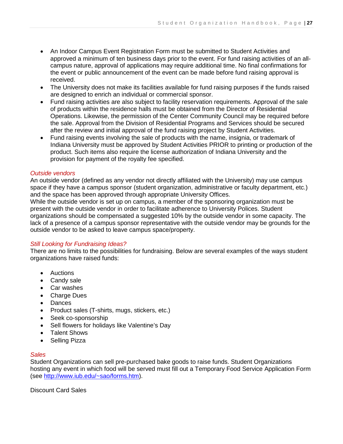- An Indoor Campus Event Registration Form must be submitted to Student Activities and approved a minimum of ten business days prior to the event. For fund raising activities of an allcampus nature, approval of applications may require additional time. No final confirmations for the event or public announcement of the event can be made before fund raising approval is received.
- The University does not make its facilities available for fund raising purposes if the funds raised are designed to enrich an individual or commercial sponsor.
- Fund raising activities are also subject to facility reservation requirements. Approval of the sale of products within the residence halls must be obtained from the Director of Residential Operations. Likewise, the permission of the Center Community Council may be required before the sale. Approval from the Division of Residential Programs and Services should be secured after the review and initial approval of the fund raising project by Student Activities.
- Fund raising events involving the sale of products with the name, insignia, or trademark of Indiana University must be approved by Student Activities PRIOR to printing or production of the product. Such items also require the license authorization of Indiana University and the provision for payment of the royalty fee specified.

#### *Outside vendors*

An outside vendor (defined as any vendor not directly affiliated with the University) may use campus space if they have a campus sponsor (student organization, administrative or faculty department, etc.) and the space has been approved through appropriate University Offices.

While the outside vendor is set up on campus, a member of the sponsoring organization must be present with the outside vendor in order to facilitate adherence to University Polices. Student organizations should be compensated a suggested 10% by the outside vendor in some capacity. The lack of a presence of a campus sponsor representative with the outside vendor may be grounds for the outside vendor to be asked to leave campus space/property.

#### *Still Looking for Fundraising Ideas?*

There are no limits to the possibilities for fundraising. Below are several examples of the ways student organizations have raised funds:

- Auctions
- Candy sale
- Car washes
- Charge Dues
- Dances
- Product sales (T-shirts, mugs, stickers, etc.)
- Seek co-sponsorship
- Sell flowers for holidays like Valentine's Day
- Talent Shows
- Selling Pizza

#### *Sales*

Student Organizations can sell pre-purchased bake goods to raise funds. Student Organizations hosting any event in which food will be served must fill out a Temporary Food Service Application Form (see [http://www.iub.edu/~sao/forms.htm\)](http://www.iub.edu/~sao/forms.htm).

Discount Card Sales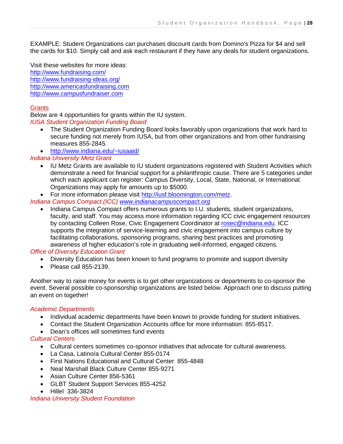EXAMPLE: Student Organizations can purchases discount cards from Domino's Pizza for \$4 and sell the cards for \$10. Simply call and ask each restaurant if they have any deals for student organizations.

Visit these websites for more ideas: <http://www.fundraising.com/> <http://www.fundraising-ideas.org/> [http://www.americasfundraising.com](http://www.americasfundraising.com/)  [http://www.campusfundraiser.com](http://www.campusfundraiser.com/) 

# **Grants**

Below are 4 opportunities for grants within the IU system. *IUSA Student Organization Funding Board* 

- The Student Organization Funding Board looks favorably upon organizations that work hard to secure funding not merely from IUSA, but from other organizations and from other fundraising measures 855-2845.
- <http://www.indiana.edu/~iusaaid/>

#### *Indiana University Metz Grant*

- IU Metz Grants are available to IU student organizations registered with Student Activities which demonstrate a need for financial support for a philanthropic cause. There are 5 categories under which each applicant can register: Campus Diversity, Local, State, National, or International. Organizations may apply for amounts up to \$5000.
- For more information please visit [http://iusf.bloomington.com/metz.](http://iusf.bloomington.com/metz)

# *Indiana Campus Compact (ICC) [www.indianacampuscompact.org](http://www.indianacampuscompact.org/)*

• Indiana Campus Compact offers numerous grants to I.U. students, student organizations, faculty, and staff. You may access more information regarding ICC civic engagement resources by contacting Colleen Rose, Civic Engagement Coordinator at [rosec@indiana.edu.](mailto:rosec@indiana.edu) ICC supports the integration of service-learning and civic engagement into campus culture by facilitating collaborations, sponsoring programs, sharing best practices and promoting awareness of higher education's role in graduating well-informed, engaged citizens.

#### *Office of Diversity Education Grant*

- Diversity Education has been known to fund programs to promote and support diversity
- Please call 855-2139

Another way to raise money for events is to get other organizations or departments to co-sponsor the event. Several possible co-sponsorship organizations are listed below. Approach one to discuss putting an event on together!

#### *Academic Departments*

- Individual academic departments have been known to provide funding for student initiatives.
- Contact the Student Organization Accounts office for more information: 855-8517.
- Dean's offices will sometimes fund events

#### *Cultural Centers*

- Cultural centers sometimes co-sponsor initiatives that advocate for cultural awareness.
- La Casa, Latino/a Cultural Center 855-0174
- First Nations Educational and Cultural Center 855-4848
- Neal Marshall Black Culture Center 855-9271
- Asian Culture Center 856-5361
- GLBT Student Support Services 855-4252
- Hillel 336-3824

#### *Indiana University Student Foundation*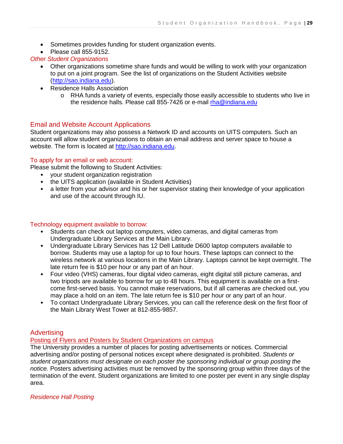- Sometimes provides funding for student organization events.
- Please call 855-9152.

# *Other Student Organizations*

- Other organizations sometime share funds and would be willing to work with your organization to put on a joint program. See the list of organizations on the Student Activities website [\(http://sao.indiana.edu\)](http://sao.indiana.edu/).
- Residence Halls Association
	- o RHA funds a variety of events, especially those easily accessible to students who live in the residence halls. Please call 855-7426 or e-mail [rha@indiana.edu](mailto:rha@indiana.edu)

# Email and Website Account Applications

Student organizations may also possess a Network ID and accounts on UITS computers. Such an account will allow student organizations to obtain an email address and server space to house a website. The form is located at [http://sao.indiana.edu.](http://sao.indiana.edu/)

#### To apply for an email or web account:

Please submit the following to Student Activities:

- your student organization registration
- the UITS application (available in Student Activities)
- a letter from your advisor and his or her supervisor stating their knowledge of your application and use of the account through IU.

#### Technology equipment available to borrow:

- Students can check out laptop computers, video cameras, and digital cameras from Undergraduate Library Services at the Main Library.
- Undergraduate Library Services has 12 Dell Latitude D600 laptop computers available to borrow. Students may use a laptop for up to four hours. These laptops can connect to the wireless network at various locations in the Main Library. Laptops cannot be kept overnight. The late return fee is \$10 per hour or any part of an hour.
- Four video (VHS) cameras, four digital video cameras, eight digital still picture cameras, and two tripods are available to borrow for up to 48 hours. This equipment is available on a firstcome first-served basis. You cannot make reservations, but if all cameras are checked out, you may place a hold on an item. The late return fee is \$10 per hour or any part of an hour.
- To contact Undergraduate Library Services, you can call the reference desk on the first floor of the Main Library West Tower at 812-855-9857.

# **Advertising**

#### Posting of Flyers and Posters by Student Organizations on campus

The University provides a number of places for posting advertisements or notices. Commercial advertising and/or posting of personal notices except where designated is prohibited. *Students or student organizations must designate on each poster the sponsoring individual or group posting the notice.* Posters advertising activities must be removed by the sponsoring group within three days of the termination of the event. Student organizations are limited to one poster per event in any single display area.

*Residence Hall Posting*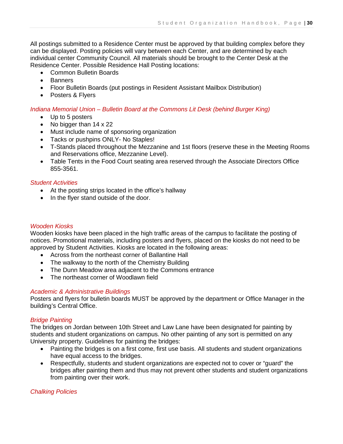All postings submitted to a Residence Center must be approved by that building complex before they can be displayed. Posting policies will vary between each Center, and are determined by each individual center Community Council. All materials should be brought to the Center Desk at the Residence Center. Possible Residence Hall Posting locations:

- Common Bulletin Boards
- Banners
- Floor Bulletin Boards (put postings in Resident Assistant Mailbox Distribution)
- Posters & Flyers

#### *Indiana Memorial Union – Bulletin Board at the Commons Lit Desk (behind Burger King)*

- Up to 5 posters
- No bigger than 14 x 22
- Must include name of sponsoring organization
- Tacks or pushpins ONLY- No Staples!
- T-Stands placed throughout the Mezzanine and 1st floors (reserve these in the Meeting Rooms and Reservations office, Mezzanine Level).
- Table Tents in the Food Court seating area reserved through the Associate Directors Office 855-3561.

#### *Student Activities*

- At the posting strips located in the office's hallway
- In the flyer stand outside of the door.

#### *Wooden Kiosks*

Wooden kiosks have been placed in the high traffic areas of the campus to facilitate the posting of notices. Promotional materials, including posters and flyers, placed on the kiosks do not need to be approved by Student Activities. Kiosks are located in the following areas:

- Across from the northeast corner of Ballantine Hall
- The walkway to the north of the Chemistry Building
- The Dunn Meadow area adjacent to the Commons entrance
- The northeast corner of Woodlawn field

#### *Academic & Administrative Buildings*

Posters and flyers for bulletin boards MUST be approved by the department or Office Manager in the building's Central Office.

#### *Bridge Painting*

The bridges on Jordan between 10th Street and Law Lane have been designated for painting by students and student organizations on campus. No other painting of any sort is permitted on any University property. Guidelines for painting the bridges:

- Painting the bridges is on a first come, first use basis. All students and student organizations have equal access to the bridges.
- Respectfully, students and student organizations are expected not to cover or "guard" the bridges after painting them and thus may not prevent other students and student organizations from painting over their work.

#### *Chalking Policies*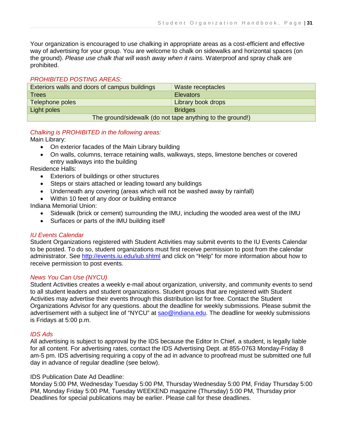Your organization is encouraged to use chalking in appropriate areas as a cost-efficient and effective way of advertising for your group. You are welcome to chalk on sidewalks and horizontal spaces (on the ground). *Please use chalk that will wash away when it rains.* Waterproof and spray chalk are prohibited.

#### *PROHIBITED POSTING AREAS:*

| Exteriors walls and doors of campus buildings             | Waste receptacles  |  |
|-----------------------------------------------------------|--------------------|--|
| <b>Trees</b>                                              | <b>Elevators</b>   |  |
| Telephone poles                                           | Library book drops |  |
| Light poles                                               | Bridges            |  |
| The ground/sidewalk (do not tape anything to the ground!) |                    |  |

#### *Chalking is PROHIBITED in the following areas:*

Main Library:

- On exterior facades of the Main Library building
- On walls, columns, terrace retaining walls, walkways, steps, limestone benches or covered entry walkways into the building

Residence Halls:

- Exteriors of buildings or other structures
- Steps or stairs attached or leading toward any buildings
- Underneath any covering (areas which will not be washed away by rainfall)
- Within 10 feet of any door or building entrance

Indiana Memorial Union:

- Sidewalk (brick or cement) surrounding the IMU, including the wooded area west of the IMU
- Surfaces or parts of the IMU building itself

#### *IU Events Calendar*

Student Organizations registered with Student Activities may submit events to the IU Events Calendar to be posted. To do so, student organizations must first receive permission to post from the calendar administrator. See<http://events.iu.edu/iub.shtml> and click on "Help" for more information about how to receive permission to post events.

#### *News You Can Use (NYCU)*

Student Activities creates a weekly e-mail about organization, university, and community events to send to all student leaders and student organizations. Student groups that are registered with Student Activities may advertise their events through this distribution list for free. Contact the Student Organizations Advisor for any questions. about the deadline for weekly submissions. Please submit the advertisement with a subject line of "NYCU" at [sao@indiana.edu.](mailto:sao@indiana.edu) The deadline for weekly submissions is Fridays at 5:00 p.m.

#### *IDS Ads*

All advertising is subject to approval by the IDS because the Editor In Chief, a student, is legally liable for all content. For advertising rates, contact the IDS Advertising Dept. at 855-0763 Monday-Friday 8 am-5 pm. IDS advertising requiring a copy of the ad in advance to proofread must be submitted one full day in advance of regular deadline (see below).

#### IDS Publication Date Ad Deadline:

Monday 5:00 PM, Wednesday Tuesday 5:00 PM, Thursday Wednesday 5:00 PM, Friday Thursday 5:00 PM, Monday Friday 5:00 PM, Tuesday WEEKEND magazine (Thursday) 5:00 PM, Thursday prior Deadlines for special publications may be earlier. Please call for these deadlines.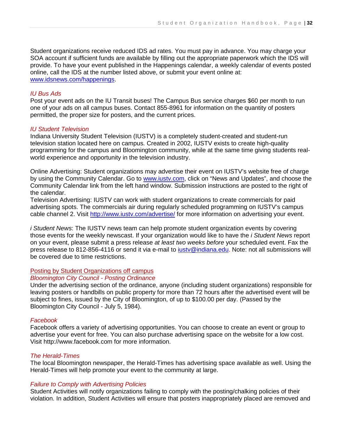Student organizations receive reduced IDS ad rates. You must pay in advance. You may charge your SOA account if sufficient funds are available by filling out the appropriate paperwork which the IDS will provide. To have your event published in the Happenings calendar, a weekly calendar of events posted online, call the IDS at the number listed above, or submit your event online at: [www.idsnews.com/happenings.](http://www.idsnews.com/happenings)

#### *IU Bus Ads*

Post your event ads on the IU Transit buses! The Campus Bus service charges \$60 per month to run one of your ads on all campus buses. Contact 855-8961 for information on the quantity of posters permitted, the proper size for posters, and the current prices.

#### *IU Student Television*

Indiana University Student Television (IUSTV) is a completely student-created and student-run television station located here on campus. Created in 2002, IUSTV exists to create high-quality programming for the campus and Bloomington community, while at the same time giving students realworld experience and opportunity in the television industry.

Online Advertising: Student organizations may advertise their event on IUSTV's website free of charge by using the Community Calendar. Go to [www.iustv.com,](http://www.iustv.com/) click on "News and Updates", and choose the Community Calendar link from the left hand window. Submission instructions are posted to the right of the calendar.

Television Advertising: IUSTV can work with student organizations to create commercials for paid advertising spots. The commercials air during regularly scheduled programming on IUSTV's campus cable channel 2. Visit <http://www.iustv.com/advertise/> for more information on advertising your event.

*i Student News*: The IUSTV news team can help promote student organization events by covering those events for the weekly newscast. If your organization would like to have the *i Student News* report on your event, please submit a press release *at least two weeks before* your scheduled event. Fax the press release to 812-856-4116 or send it via e-mail to justy@indiana.edu. Note: not all submissions will be covered due to time restrictions.

#### Posting by Student Organizations off campus

#### *Bloomington City Council - Posting Ordinance*

Under the advertising section of the ordinance, anyone (including student organizations) responsible for leaving posters or handbills on public property for more than 72 hours after the advertised event will be subject to fines, issued by the City of Bloomington, of up to \$100.00 per day. (Passed by the Bloomington City Council - July 5, 1984).

#### *Facebook*

Facebook offers a variety of advertising opportunities. You can choose to create an event or group to advertise your event for free. You can also purchase advertising space on the website for a low cost. Visit http://www.facebook.com for more information.

#### *The Herald-Times*

The local Bloomington newspaper, the Herald-Times has advertising space available as well. Using the Herald-Times will help promote your event to the community at large.

#### *Failure to Comply with Advertising Policies*

Student Activities will notify organizations failing to comply with the posting/chalking policies of their violation. In addition, Student Activities will ensure that posters inappropriately placed are removed and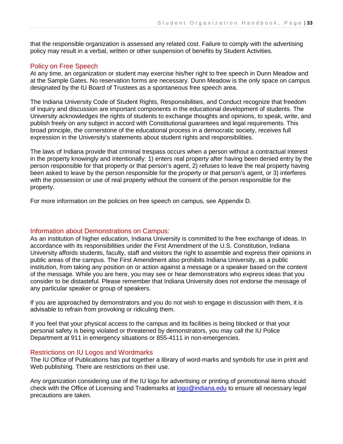that the responsible organization is assessed any related cost. Failure to comply with the advertising policy may result in a verbal, written or other suspension of benefits by Student Activities.

# Policy on Free Speech

At any time, an organization or student may exercise his/her right to free speech in Dunn Meadow and at the Sample Gates. No reservation forms are necessary. Dunn Meadow is the only space on campus designated by the IU Board of Trustees as a spontaneous free speech area.

The Indiana University Code of Student Rights, Responsibilities, and Conduct recognize that freedom of inquiry and discussion are important components in the educational development of students. The University acknowledges the rights of students to exchange thoughts and opinions, to speak, write, and publish freely on any subject in accord with Constitutional guarantees and legal requirements. This broad principle, the cornerstone of the educational process in a democratic society, receives full expression in the University's statements about student rights and responsibilities.

The laws of Indiana provide that criminal trespass occurs when a person without a contractual interest in the property knowingly and intentionally: 1) enters real property after having been denied entry by the person responsible for that property or that person's agent, 2) refuses to leave the real property having been asked to leave by the person responsible for the property or that person's agent, or 3) interferes with the possession or use of real property without the consent of the person responsible for the property.

For more information on the policies on free speech on campus, see Appendix D.

# Information about Demonstrations on Campus:

As an institution of higher education, Indiana University is committed to the free exchange of ideas. In accordance with its responsibilities under the First Amendment of the U.S. Constitution, Indiana University affords students, faculty, staff and visitors the right to assemble and express their opinions in public areas of the campus. The First Amendment also prohibits Indiana University, as a public institution, from taking any position on or action against a message or a speaker based on the content of the message. While you are here, you may see or hear demonstrators who express ideas that you consider to be distasteful. Please remember that Indiana University does not endorse the message of any particular speaker or group of speakers.

If you are approached by demonstrators and you do not wish to engage in discussion with them, it is advisable to refrain from provoking or ridiculing them.

If you feel that your physical access to the campus and its facilities is being blocked or that your personal safety is being violated or threatened by demonstrators, you may call the IU Police Department at 911 in emergency situations or 855-4111 in non-emergencies.

#### Restrictions on IU Logos and Wordmarks

The IU Office of Publications has put together a library of word-marks and symbols for use in print and Web publishing. There are restrictions on their use.

Any organization considering use of the IU logo for advertising or printing of promotional items should check with the Office of Licensing and Trademarks at [logo@indiana.edu](mailto:logo@indiana.edu) to ensure all necessary legal precautions are taken.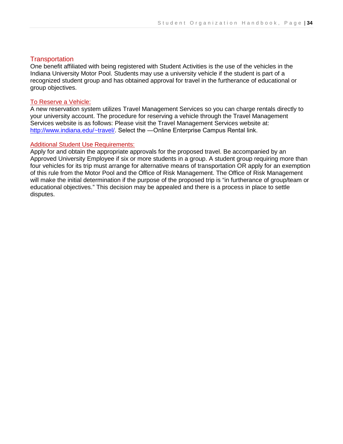# **Transportation**

One benefit affiliated with being registered with Student Activities is the use of the vehicles in the Indiana University Motor Pool. Students may use a university vehicle if the student is part of a recognized student group and has obtained approval for travel in the furtherance of educational or group objectives.

#### To Reserve a Vehicle:

A new reservation system utilizes Travel Management Services so you can charge rentals directly to your university account. The procedure for reserving a vehicle through the Travel Management Services website is as follows: Please visit the Travel Management Services website at: <http://www.indiana.edu/~travel/>. Select the —Online Enterprise Campus Rental link.

#### Additional Student Use Requirements:

Apply for and obtain the appropriate approvals for the proposed travel. Be accompanied by an Approved University Employee if six or more students in a group. A student group requiring more than four vehicles for its trip must arrange for alternative means of transportation OR apply for an exemption of this rule from the Motor Pool and the Office of Risk Management. The Office of Risk Management will make the initial determination if the purpose of the proposed trip is "in furtherance of group/team or educational objectives." This decision may be appealed and there is a process in place to settle disputes.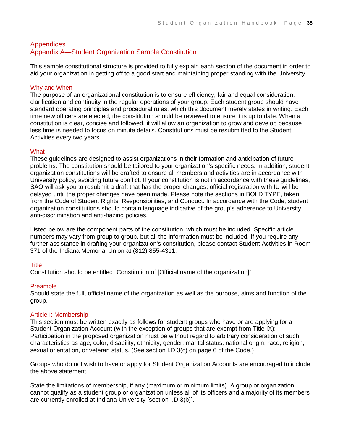# **Appendices** Appendix A—Student Organization Sample Constitution

This sample constitutional structure is provided to fully explain each section of the document in order to aid your organization in getting off to a good start and maintaining proper standing with the University.

# Why and When

The purpose of an organizational constitution is to ensure efficiency, fair and equal consideration, clarification and continuity in the regular operations of your group. Each student group should have standard operating principles and procedural rules, which this document merely states in writing. Each time new officers are elected, the constitution should be reviewed to ensure it is up to date. When a constitution is clear, concise and followed, it will allow an organization to grow and develop because less time is needed to focus on minute details. Constitutions must be resubmitted to the Student Activities every two years.

#### **What**

These guidelines are designed to assist organizations in their formation and anticipation of future problems. The constitution should be tailored to your organization's specific needs. In addition, student organization constitutions will be drafted to ensure all members and activities are in accordance with University policy, avoiding future conflict. If your constitution is not in accordance with these guidelines, SAO will ask you to resubmit a draft that has the proper changes; official registration with IU will be delayed until the proper changes have been made. Please note the sections in BOLD TYPE, taken from the Code of Student Rights, Responsibilities, and Conduct. In accordance with the Code, student organization constitutions should contain language indicative of the group's adherence to University anti-discrimination and anti-hazing policies.

Listed below are the component parts of the constitution, which must be included. Specific article numbers may vary from group to group, but all the information must be included. If you require any further assistance in drafting your organization's constitution, please contact Student Activities in Room 371 of the Indiana Memorial Union at (812) 855-4311.

# **Title**

Constitution should be entitled "Constitution of [Official name of the organization]"

#### Preamble

Should state the full, official name of the organization as well as the purpose, aims and function of the group.

#### Article I: Membership

This section must be written exactly as follows for student groups who have or are applying for a Student Organization Account (with the exception of groups that are exempt from Title IX): Participation in the proposed organization must be without regard to arbitrary consideration of such characteristics as age, color, disability, ethnicity, gender, marital status, national origin, race, religion, sexual orientation, or veteran status. (See section I.D.3(c) on page 6 of the Code.)

Groups who do not wish to have or apply for Student Organization Accounts are encouraged to include the above statement.

State the limitations of membership, if any (maximum or minimum limits). A group or organization cannot qualify as a student group or organization unless all of its officers and a majority of its members are currently enrolled at Indiana University [section I.D.3(b)].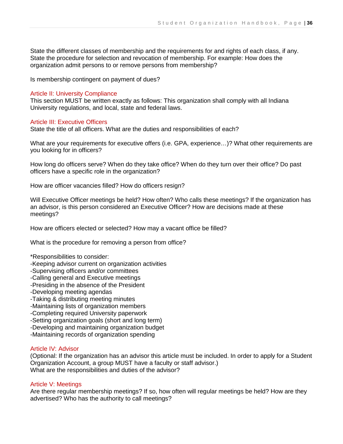State the different classes of membership and the requirements for and rights of each class, if any. State the procedure for selection and revocation of membership. For example: How does the organization admit persons to or remove persons from membership?

Is membership contingent on payment of dues?

#### Article II: University Compliance

This section MUST be written exactly as follows: This organization shall comply with all Indiana University regulations, and local, state and federal laws.

#### Article III: Executive Officers

State the title of all officers. What are the duties and responsibilities of each?

What are your requirements for executive offers (i.e. GPA, experience…)? What other requirements are you looking for in officers?

How long do officers serve? When do they take office? When do they turn over their office? Do past officers have a specific role in the organization?

How are officer vacancies filled? How do officers resign?

Will Executive Officer meetings be held? How often? Who calls these meetings? If the organization has an advisor, is this person considered an Executive Officer? How are decisions made at these meetings?

How are officers elected or selected? How may a vacant office be filled?

What is the procedure for removing a person from office?

\*Responsibilities to consider:

- -Keeping advisor current on organization activities
- -Supervising officers and/or committees
- -Calling general and Executive meetings
- -Presiding in the absence of the President
- -Developing meeting agendas
- -Taking & distributing meeting minutes
- -Maintaining lists of organization members
- -Completing required University paperwork
- -Setting organization goals (short and long term)
- -Developing and maintaining organization budget
- -Maintaining records of organization spending

# Article IV: Advisor

(Optional: If the organization has an advisor this article must be included. In order to apply for a Student Organization Account, a group MUST have a faculty or staff advisor.) What are the responsibilities and duties of the advisor?

#### Article V: Meetings

Are there regular membership meetings? If so, how often will regular meetings be held? How are they advertised? Who has the authority to call meetings?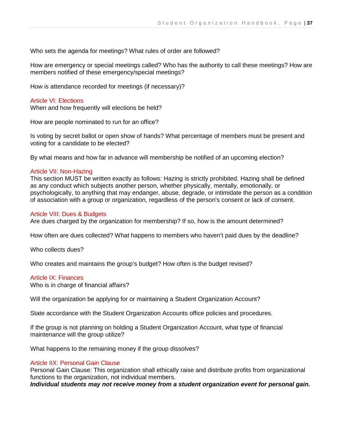Who sets the agenda for meetings? What rules of order are followed?

How are emergency or special meetings called? Who has the authority to call these meetings? How are members notified of these emergency/special meetings?

How is attendance recorded for meetings (if necessary)?

#### Article VI: Elections

When and how frequently will elections be held?

How are people nominated to run for an office?

Is voting by secret ballot or open show of hands? What percentage of members must be present and voting for a candidate to be elected?

By what means and how far in advance will membership be notified of an upcoming election?

#### Article VII: Non-Hazing

This section MUST be written exactly as follows: Hazing is strictly prohibited. Hazing shall be defined as any conduct which subjects another person, whether physically, mentally, emotionally, or psychologically, to anything that may endanger, abuse, degrade, or intimidate the person as a condition of association with a group or organization, regardless of the person's consent or lack of consent.

#### Article VIII: Dues & Budgets

Are dues charged by the organization for membership? If so, how is the amount determined?

How often are dues collected? What happens to members who haven't paid dues by the deadline?

Who collects dues?

Who creates and maintains the group's budget? How often is the budget revised?

#### Article IX: Finances

Who is in charge of financial affairs?

Will the organization be applying for or maintaining a Student Organization Account?

State accordance with the Student Organization Accounts office policies and procedures.

If the group is not planning on holding a Student Organization Account, what type of financial maintenance will the group utilize?

What happens to the remaining money if the group dissolves?

#### Article IIX: Personal Gain Clause

Personal Gain Clause: This organization shall ethically raise and distribute profits from organizational functions to the organization, not individual members.

*Individual students may not receive money from a student organization event for personal gain.*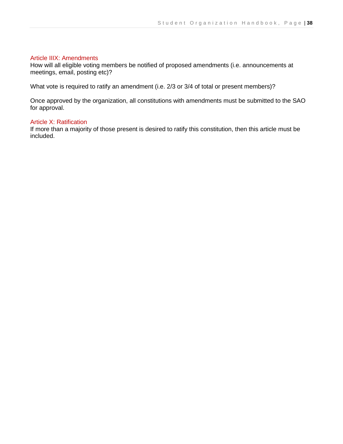#### Article IIIX: Amendments

How will all eligible voting members be notified of proposed amendments (i.e. announcements at meetings, email, posting etc)?

What vote is required to ratify an amendment (i.e. 2/3 or 3/4 of total or present members)?

Once approved by the organization, all constitutions with amendments must be submitted to the SAO for approval.

#### Article X: Ratification

If more than a majority of those present is desired to ratify this constitution, then this article must be included.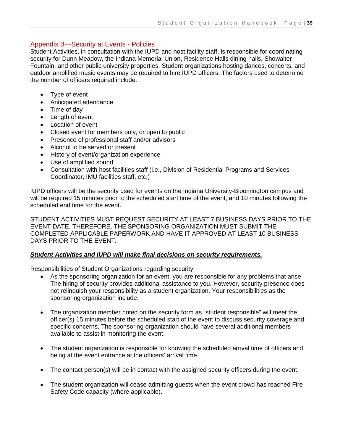# Appendix B—Security at Events - Policies

Student Activities, in consultation with the IUPD and host facility staff, is responsible for coordinating security for Dunn Meadow, the Indiana Memorial Union, Residence Halls dining halls, Showalter Fountain, and other public university properties. Student organizations hosting dances, concerts, and outdoor amplified music events may be required to hire IUPD officers. The factors used to determine the number of officers required include:

- Type of event
- Anticipated attendance
- Time of day
- Length of event
- Location of event
- Closed event for members only, or open to public
- Presence of professional staff and/or advisors
- Alcohol to be served or present
- History of event/organization experience
- Use of amplified sound
- Consultation with host facilities staff (i.e., Division of Residential Programs and Services Coordinator, IMU facilities staff, etc.)

IUPD officers will be the security used for events on the Indiana University-Bloomington campus and will be required 15 minutes prior to the scheduled start time of the event, and 10 minutes following the scheduled end time for the event.

STUDENT ACTIVITIES MUST REQUEST SECURITY AT LEAST 7 BUSINESS DAYS PRIOR TO THE EVENT DATE. THEREFORE, THE SPONSORING ORGANIZATION MUST SUBMIT THE COMPLETED APPLICABLE PAPERWORK AND HAVE IT APPROVED AT LEAST 10 BUSINESS DAYS PRIOR TO THE EVENT.

#### *Student Activities and IUPD will make final decisions on security requirements.*

Responsibilities of Student Organizations regarding security:

- As the sponsoring organization for an event, you are responsible for any problems that arise. The hiring of security provides additional assistance to you. However, security presence does not relinquish your responsibility as a student organization. Your responsibilities as the sponsoring organization include:
- The organization member noted on the security form as "student responsible" will meet the officer(s) 15 minutes before the scheduled start of the event to discuss security coverage and specific concerns. The sponsoring organization should have several additional members available to assist in monitoring the event.
- The student organization is responsible for knowing the scheduled arrival time of officers and being at the event entrance at the officers' arrival time.
- The contact person(s) will be in contact with the assigned security officers during the event.
- The student organization will cease admitting guests when the event crowd has reached Fire Safety Code capacity (where applicable).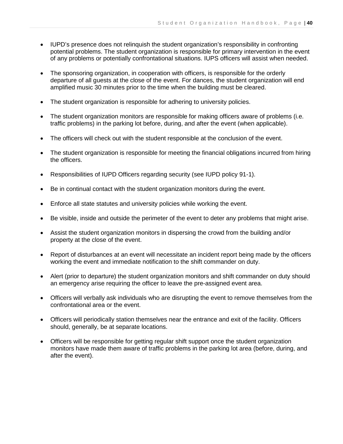- IUPD's presence does not relinquish the student organization's responsibility in confronting potential problems. The student organization is responsible for primary intervention in the event of any problems or potentially confrontational situations. IUPS officers will assist when needed.
- The sponsoring organization, in cooperation with officers, is responsible for the orderly departure of all guests at the close of the event. For dances, the student organization will end amplified music 30 minutes prior to the time when the building must be cleared.
- The student organization is responsible for adhering to university policies.
- The student organization monitors are responsible for making officers aware of problems (i.e. traffic problems) in the parking lot before, during, and after the event (when applicable).
- The officers will check out with the student responsible at the conclusion of the event.
- The student organization is responsible for meeting the financial obligations incurred from hiring the officers.
- Responsibilities of IUPD Officers regarding security (see IUPD policy 91-1).
- Be in continual contact with the student organization monitors during the event.
- Enforce all state statutes and university policies while working the event.
- Be visible, inside and outside the perimeter of the event to deter any problems that might arise.
- Assist the student organization monitors in dispersing the crowd from the building and/or property at the close of the event.
- Report of disturbances at an event will necessitate an incident report being made by the officers working the event and immediate notification to the shift commander on duty.
- Alert (prior to departure) the student organization monitors and shift commander on duty should an emergency arise requiring the officer to leave the pre-assigned event area.
- Officers will verbally ask individuals who are disrupting the event to remove themselves from the confrontational area or the event.
- Officers will periodically station themselves near the entrance and exit of the facility. Officers should, generally, be at separate locations.
- Officers will be responsible for getting regular shift support once the student organization monitors have made them aware of traffic problems in the parking lot area (before, during, and after the event).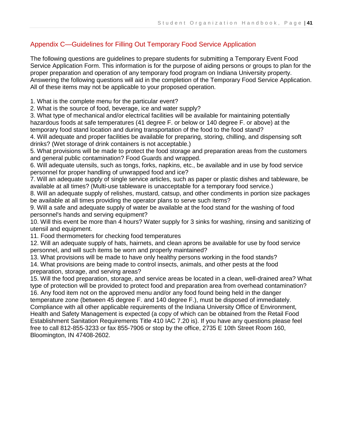# Appendix C—Guidelines for Filling Out Temporary Food Service Application

The following questions are guidelines to prepare students for submitting a Temporary Event Food Service Application Form. This information is for the purpose of aiding persons or groups to plan for the proper preparation and operation of any temporary food program on Indiana University property. Answering the following questions will aid in the completion of the Temporary Food Service Application. All of these items may not be applicable to your proposed operation.

1. What is the complete menu for the particular event?

2. What is the source of food, beverage, ice and water supply?

3. What type of mechanical and/or electrical facilities will be available for maintaining potentially hazardous foods at safe temperatures (41 degree F. or below or 140 degree F. or above) at the temporary food stand location and during transportation of the food to the food stand?

4. Will adequate and proper facilities be available for preparing, storing, chilling, and dispensing soft drinks? (Wet storage of drink containers is not acceptable.)

5. What provisions will be made to protect the food storage and preparation areas from the customers and general public contamination? Food Guards and wrapped.

6. Will adequate utensils, such as tongs, forks, napkins, etc., be available and in use by food service personnel for proper handling of unwrapped food and ice?

7. Will an adequate supply of single service articles, such as paper or plastic dishes and tableware, be available at all times? (Multi-use tableware is unacceptable for a temporary food service.)

8. Will an adequate supply of relishes, mustard, catsup, and other condiments in portion size packages be available at all times providing the operator plans to serve such items?

9. Will a safe and adequate supply of water be available at the food stand for the washing of food personnel's hands and serving equipment?

10. Will this event be more than 4 hours? Water supply for 3 sinks for washing, rinsing and sanitizing of utensil and equipment.

11. Food thermometers for checking food temperatures

12. Will an adequate supply of hats, hairnets, and clean aprons be available for use by food service personnel, and will such items be worn and properly maintained?

13. What provisions will be made to have only healthy persons working in the food stands?

14. What provisions are being made to control insects, animals, and other pests at the food preparation, storage, and serving areas?

15. Will the food preparation, storage, and service areas be located in a clean, well-drained area? What type of protection will be provided to protect food and preparation area from overhead contamination? 16. Any food item not on the approved menu and/or any food found being held in the danger temperature zone (between 45 degree F. and 140 degree F.), must be disposed of immediately. Compliance with all other applicable requirements of the Indiana University Office of Environment, Health and Safety Management is expected (a copy of which can be obtained from the Retail Food Establishment Sanitation Requirements Title 410 IAC 7.20 is). If you have any questions please feel free to call 812-855-3233 or fax 855-7906 or stop by the office, 2735 E 10th Street Room 160, Bloomington, IN 47408-2602.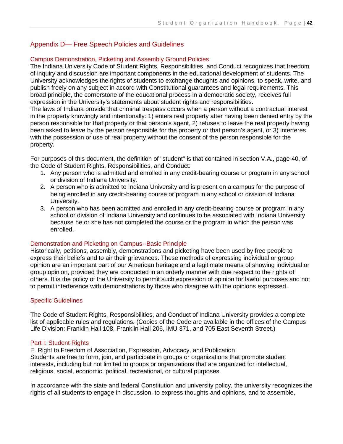# Appendix D— Free Speech Policies and Guidelines

# Campus Demonstration, Picketing and Assembly Ground Policies

The Indiana University Code of Student Rights, Responsibilities, and Conduct recognizes that freedom of inquiry and discussion are important components in the educational development of students. The University acknowledges the rights of students to exchange thoughts and opinions, to speak, write, and publish freely on any subject in accord with Constitutional guarantees and legal requirements. This broad principle, the cornerstone of the educational process in a democratic society, receives full expression in the University's statements about student rights and responsibilities.

The laws of Indiana provide that criminal trespass occurs when a person without a contractual interest in the property knowingly and intentionally: 1) enters real property after having been denied entry by the person responsible for that property or that person's agent, 2) refuses to leave the real property having been asked to leave by the person responsible for the property or that person's agent, or 3) interferes with the possession or use of real property without the consent of the person responsible for the property.

For purposes of this document, the definition of "student" is that contained in section V.A., page 40, of the Code of Student Rights, Responsibilities, and Conduct:

- 1. Any person who is admitted and enrolled in any credit-bearing course or program in any school or division of Indiana University.
- 2. A person who is admitted to Indiana University and is present on a campus for the purpose of being enrolled in any credit-bearing course or program in any school or division of Indiana University.
- 3. A person who has been admitted and enrolled in any credit-bearing course or program in any school or division of Indiana University and continues to be associated with Indiana University because he or she has not completed the course or the program in which the person was enrolled.

#### Demonstration and Picketing on Campus--Basic Principle

Historically, petitions, assembly, demonstrations and picketing have been used by free people to express their beliefs and to air their grievances. These methods of expressing individual or group opinion are an important part of our American heritage and a legitimate means of showing individual or group opinion, provided they are conducted in an orderly manner with due respect to the rights of others. It is the policy of the University to permit such expression of opinion for lawful purposes and not to permit interference with demonstrations by those who disagree with the opinions expressed.

#### Specific Guidelines

The Code of Student Rights, Responsibilities, and Conduct of Indiana University provides a complete list of applicable rules and regulations. (Copies of the Code are available in the offices of the Campus Life Division: Franklin Hall 108, Franklin Hall 206, IMU 371, and 705 East Seventh Street.)

#### Part I: Student Rights

E. Right to Freedom of Association, Expression, Advocacy, and Publication Students are free to form, join, and participate in groups or organizations that promote student interests, including but not limited to groups or organizations that are organized for intellectual, religious, social, economic, political, recreational, or cultural purposes.

In accordance with the state and federal Constitution and university policy, the university recognizes the rights of all students to engage in discussion, to express thoughts and opinions, and to assemble,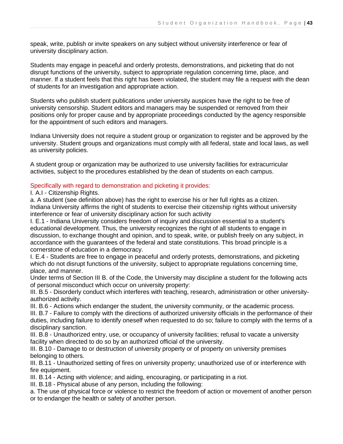speak, write, publish or invite speakers on any subject without university interference or fear of university disciplinary action.

Students may engage in peaceful and orderly protests, demonstrations, and picketing that do not disrupt functions of the university, subject to appropriate regulation concerning time, place, and manner. If a student feels that this right has been violated, the student may file a request with the dean of students for an investigation and appropriate action.

Students who publish student publications under university auspices have the right to be free of university censorship. Student editors and managers may be suspended or removed from their positions only for proper cause and by appropriate proceedings conducted by the agency responsible for the appointment of such editors and managers.

Indiana University does not require a student group or organization to register and be approved by the university. Student groups and organizations must comply with all federal, state and local laws, as well as university policies.

A student group or organization may be authorized to use university facilities for extracurricular activities, subject to the procedures established by the dean of students on each campus.

#### Specifically with regard to demonstration and picketing it provides:

#### I. A.I - Citizenship Rights.

a. A student (see definition above) has the right to exercise his or her full rights as a citizen. Indiana University affirms the right of students to exercise their citizenship rights without university interference or fear of university disciplinary action for such activity

I. E.1 - Indiana University considers freedom of inquiry and discussion essential to a student's educational development. Thus, the university recognizes the right of all students to engage in discussion, to exchange thought and opinion, and to speak, write, or publish freely on any subject, in accordance with the guarantees of the federal and state constitutions. This broad principle is a cornerstone of education in a democracy.

I. E.4 - Students are free to engage in peaceful and orderly protests, demonstrations, and picketing which do not disrupt functions of the university, subject to appropriate regulations concerning time, place, and manner.

Under terms of Section III B. of the Code, the University may discipline a student for the following acts of personal misconduct which occur on university property:

III. B.5 - Disorderly conduct which interferes with teaching, research, administration or other universityauthorized activity.

III. B.6 - Actions which endanger the student, the university community, or the academic process.

III. B.7 - Failure to comply with the directions of authorized university officials in the performance of their duties, including failure to identify oneself when requested to do so; failure to comply with the terms of a disciplinary sanction.

III. B.8 - Unauthorized entry, use, or occupancy of university facilities; refusal to vacate a university facility when directed to do so by an authorized official of the university.

III. B.10 - Damage to or destruction of university property or of property on university premises belonging to others.

III. B.11 - Unauthorized setting of fires on university property; unauthorized use of or interference with fire equipment.

III. B.14 - Acting with violence; and aiding, encouraging, or participating in a riot.

III. B.18 - Physical abuse of any person, including the following:

a. The use of physical force or violence to restrict the freedom of action or movement of another person or to endanger the health or safety of another person.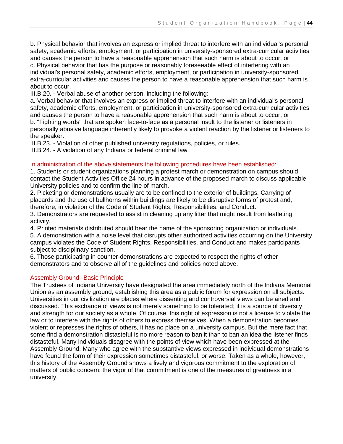b. Physical behavior that involves an express or implied threat to interfere with an individual's personal safety, academic efforts, employment, or participation in university-sponsored extra-curricular activities and causes the person to have a reasonable apprehension that such harm is about to occur; or c. Physical behavior that has the purpose or reasonably foreseeable effect of interfering with an

individual's personal safety, academic efforts, employment, or participation in university-sponsored extra-curricular activities and causes the person to have a reasonable apprehension that such harm is about to occur.

III.B.20. - Verbal abuse of another person, including the following:

a. Verbal behavior that involves an express or implied threat to interfere with an individual's personal safety, academic efforts, employment, or participation in university-sponsored extra-curricular activities and causes the person to have a reasonable apprehension that such harm is about to occur; or

b. "Fighting words" that are spoken face-to-face as a personal insult to the listener or listeners in personally abusive language inherently likely to provoke a violent reaction by the listener or listeners to the speaker.

III.B.23. - Violation of other published university regulations, policies, or rules.

III.B.24. - A violation of any Indiana or federal criminal law.

#### In administration of the above statements the following procedures have been established:

1. Students or student organizations planning a protest march or demonstration on campus should contact the Student Activities Office 24 hours in advance of the proposed march to discuss applicable University policies and to confirm the line of march.

2. Picketing or demonstrations usually are to be confined to the exterior of buildings. Carrying of placards and the use of bullhorns within buildings are likely to be disruptive forms of protest and, therefore, in violation of the Code of Student Rights, Responsibilities, and Conduct.

3. Demonstrators are requested to assist in cleaning up any litter that might result from leafleting activity.

4. Printed materials distributed should bear the name of the sponsoring organization or individuals.

5. A demonstration with a noise level that disrupts other authorized activities occurring on the University campus violates the Code of Student Rights, Responsibilities, and Conduct and makes participants subject to disciplinary sanction.

6. Those participating in counter-demonstrations are expected to respect the rights of other demonstrators and to observe all of the guidelines and policies noted above.

#### Assembly Ground--Basic Principle

The Trustees of Indiana University have designated the area immediately north of the Indiana Memorial Union as an assembly ground, establishing this area as a public forum for expression on all subjects. Universities in our civilization are places where dissenting and controversial views can be aired and discussed. This exchange of views is not merely something to be tolerated; it is a source of diversity and strength for our society as a whole. Of course, this right of expression is not a license to violate the law or to interfere with the rights of others to express themselves. When a demonstration becomes violent or represses the rights of others, it has no place on a university campus. But the mere fact that some find a demonstration distasteful is no more reason to ban it than to ban an idea the listener finds distasteful. Many individuals disagree with the points of view which have been expressed at the Assembly Ground. Many who agree with the substantive views expressed in individual demonstrations have found the form of their expression sometimes distasteful, or worse. Taken as a whole, however, this history of the Assembly Ground shows a lively and vigorous commitment to the exploration of matters of public concern: the vigor of that commitment is one of the measures of greatness in a university.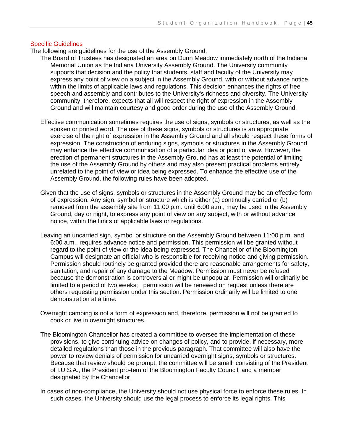#### Specific Guidelines

The following are guidelines for the use of the Assembly Ground.

- The Board of Trustees has designated an area on Dunn Meadow immediately north of the Indiana Memorial Union as the Indiana University Assembly Ground. The University community supports that decision and the policy that students, staff and faculty of the University may express any point of view on a subject in the Assembly Ground, with or without advance notice, within the limits of applicable laws and regulations. This decision enhances the rights of free speech and assembly and contributes to the University's richness and diversity. The University community, therefore, expects that all will respect the right of expression in the Assembly Ground and will maintain courtesy and good order during the use of the Assembly Ground.
- Effective communication sometimes requires the use of signs, symbols or structures, as well as the spoken or printed word. The use of these signs, symbols or structures is an appropriate exercise of the right of expression in the Assembly Ground and all should respect these forms of expression. The construction of enduring signs, symbols or structures in the Assembly Ground may enhance the effective communication of a particular idea or point of view. However, the erection of permanent structures in the Assembly Ground has at least the potential of limiting the use of the Assembly Ground by others and may also present practical problems entirely unrelated to the point of view or idea being expressed. To enhance the effective use of the Assembly Ground, the following rules have been adopted.
- Given that the use of signs, symbols or structures in the Assembly Ground may be an effective form of expression. Any sign, symbol or structure which is either (a) continually carried or (b) removed from the assembly site from 11:00 p.m. until 6:00 a.m., may be used in the Assembly Ground, day or night, to express any point of view on any subject, with or without advance notice, within the limits of applicable laws or regulations.
- Leaving an uncarried sign, symbol or structure on the Assembly Ground between 11:00 p.m. and 6:00 a.m., requires advance notice and permission. This permission will be granted without regard to the point of view or the idea being expressed. The Chancellor of the Bloomington Campus will designate an official who is responsible for receiving notice and giving permission. Permission should routinely be granted provided there are reasonable arrangements for safety, sanitation, and repair of any damage to the Meadow. Permission must never be refused because the demonstration is controversial or might be unpopular. Permission will ordinarily be limited to a period of two weeks; permission will be renewed on request unless there are others requesting permission under this section. Permission ordinarily will be limited to one demonstration at a time.
- Overnight camping is not a form of expression and, therefore, permission will not be granted to cook or live in overnight structures.
- The Bloomington Chancellor has created a committee to oversee the implementation of these provisions, to give continuing advice on changes of policy, and to provide, if necessary, more detailed regulations than those in the previous paragraph. That committee will also have the power to review denials of permission for uncarried overnight signs, symbols or structures. Because that review should be prompt, the committee will be small, consisting of the President of I.U.S.A., the President pro-tem of the Bloomington Faculty Council, and a member designated by the Chancellor.
- In cases of non-compliance, the University should not use physical force to enforce these rules. In such cases, the University should use the legal process to enforce its legal rights. This